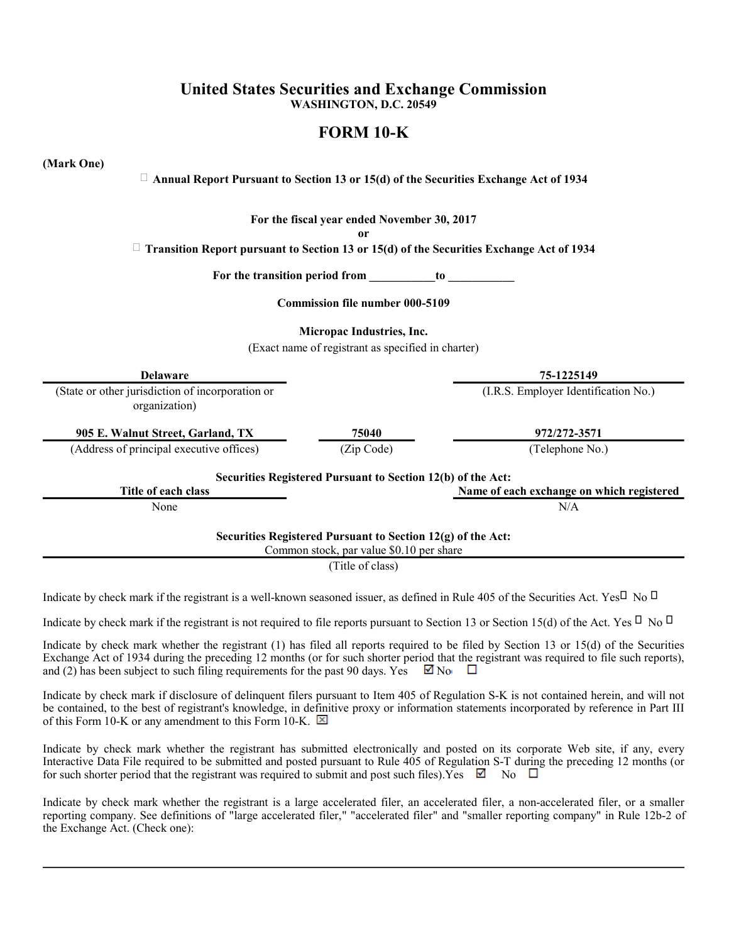## **United States Securities and Exchange Commission WASHINGTON, D.C. 20549**

# **FORM 10-K**

**(Mark One)**

## **Annual Report Pursuant to Section 13 or 15(d) of the Securities Exchange Act of 1934**

**For the fiscal year ended November 30, 2017**

**or**

**Transition Report pursuant to Section 13 or 15(d) of the Securities Exchange Act of 1934**

**For the transition period from \_\_\_\_\_\_\_\_\_\_\_to \_\_\_\_\_\_\_\_\_\_\_**

**Commission file number 000-5109**

**Micropac Industries, Inc.**

(Exact name of registrant as specified in charter)

| <b>Delaware</b>                                                   |                                                                                                         | 75-1225149                                |
|-------------------------------------------------------------------|---------------------------------------------------------------------------------------------------------|-------------------------------------------|
| (State or other jurisdiction of incorporation or<br>organization) |                                                                                                         | (I.R.S. Employer Identification No.)      |
| 905 E. Walnut Street, Garland, TX                                 | 75040                                                                                                   | 972/272-3571                              |
| (Address of principal executive offices)                          | (Zip Code)                                                                                              | (Telephone No.)                           |
| Title of each class                                               | Securities Registered Pursuant to Section 12(b) of the Act:                                             | Name of each exchange on which registered |
| None                                                              |                                                                                                         | N/A                                       |
|                                                                   | Securities Registered Pursuant to Section 12(g) of the Act:<br>Common stock, par value \$0.10 per share |                                           |
|                                                                   | (Title of class)                                                                                        |                                           |

Indicate by check mark if the registrant is a well-known seasoned issuer, as defined in Rule 405 of the Securities Act. Yes No

Indicate by check mark if the registrant is not required to file reports pursuant to Section 13 or Section 15(d) of the Act. Yes No

Indicate by check mark whether the registrant (1) has filed all reports required to be filed by Section 13 or 15(d) of the Securities Exchange Act of 1934 during the preceding 12 months (or for such shorter period that the registrant was required to file such reports), and (2) has been subject to such filing requirements for the past 90 days. Yes  $\Box$  No  $\Box$ 

Indicate by check mark if disclosure of delinquent filers pursuant to Item 405 of Regulation S-K is not contained herein, and will not be contained, to the best of registrant's knowledge, in definitive proxy or information statements incorporated by reference in Part III of this Form 10-K or any amendment to this Form 10-K.  $\boxtimes$ 

Indicate by check mark whether the registrant has submitted electronically and posted on its corporate Web site, if any, every Interactive Data File required to be submitted and posted pursuant to Rule 405 of Regulation S-T during the preceding 12 months (or for such shorter period that the registrant was required to submit and post such files). Yes  $\boxtimes$  No  $\square$ 

Indicate by check mark whether the registrant is a large accelerated filer, an accelerated filer, a non-accelerated filer, or a smaller reporting company. See definitions of "large accelerated filer," "accelerated filer" and "smaller reporting company" in Rule 12b-2 of the Exchange Act. (Check one):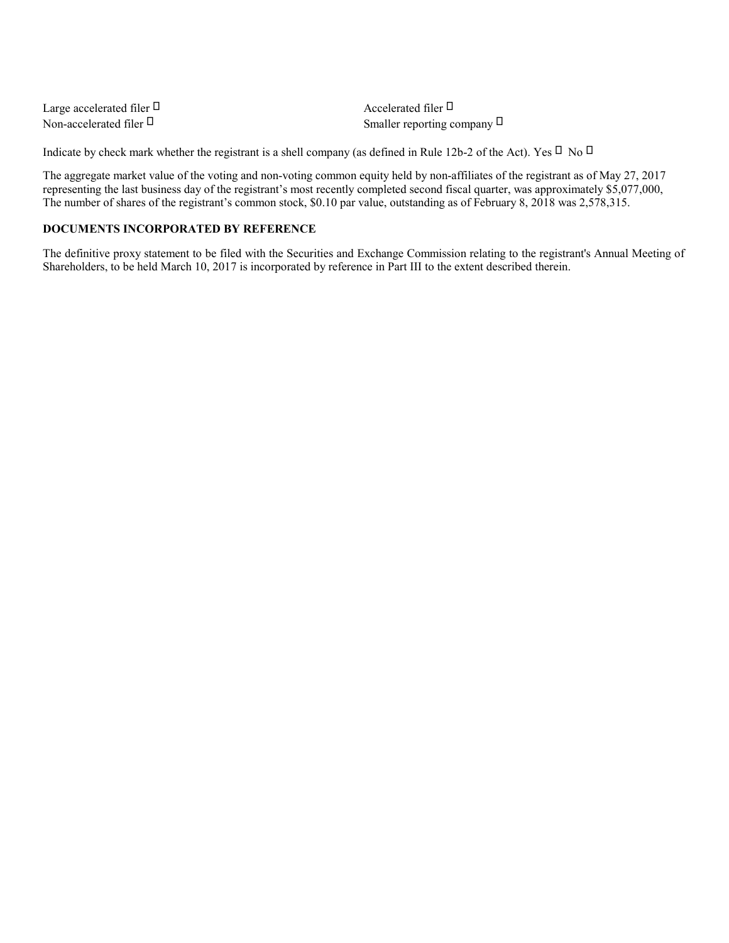| Large accelerated filer | Accelerated filer         |
|-------------------------|---------------------------|
| Non-accelerated filer   | Smaller reporting company |

Indicate by check mark whether the registrant is a shell company (as defined in Rule 12b-2 of the Act). Yes No

The aggregate market value of the voting and non-voting common equity held by non-affiliates of the registrant as of May 27, 2017 representing the last business day of the registrant's most recently completed second fiscal quarter, was approximately \$5,077,000, The number of shares of the registrant's common stock, \$0.10 par value, outstanding as of February 8, 2018 was 2,578,315.

## **DOCUMENTS INCORPORATED BY REFERENCE**

The definitive proxy statement to be filed with the Securities and Exchange Commission relating to the registrant's Annual Meeting of Shareholders, to be held March 10, 2017 is incorporated by reference in Part III to the extent described therein.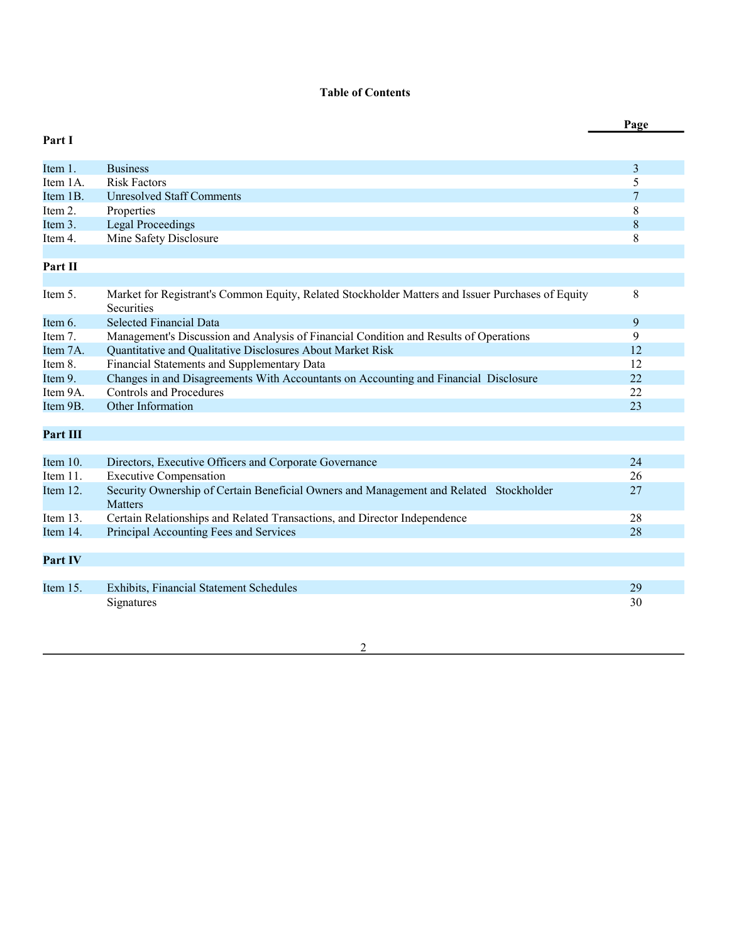## **Table of Contents**

|                 |                                                                                                                 | Page |
|-----------------|-----------------------------------------------------------------------------------------------------------------|------|
| Part I          |                                                                                                                 |      |
| Item 1.         | <b>Business</b>                                                                                                 | 3    |
| Item 1A.        | <b>Risk Factors</b>                                                                                             | 5    |
| Item 1B.        | <b>Unresolved Staff Comments</b>                                                                                | 7    |
| Item 2.         | Properties                                                                                                      | 8    |
| Item 3.         | <b>Legal Proceedings</b>                                                                                        | 8    |
| Item 4.         | Mine Safety Disclosure                                                                                          | 8    |
| Part II         |                                                                                                                 |      |
| Item 5.         | Market for Registrant's Common Equity, Related Stockholder Matters and Issuer Purchases of Equity<br>Securities | 8    |
| Item 6.         | <b>Selected Financial Data</b>                                                                                  | 9    |
| Item 7.         | Management's Discussion and Analysis of Financial Condition and Results of Operations                           | 9    |
| Item 7A.        | Quantitative and Qualitative Disclosures About Market Risk                                                      | 12   |
| Item 8.         | Financial Statements and Supplementary Data                                                                     | 12   |
| Item 9.         | Changes in and Disagreements With Accountants on Accounting and Financial Disclosure                            | 22   |
| Item 9A.        | <b>Controls and Procedures</b>                                                                                  | 22   |
| Item 9B.        | Other Information                                                                                               | 23   |
| <b>Part III</b> |                                                                                                                 |      |
|                 |                                                                                                                 |      |
| Item 10.        | Directors, Executive Officers and Corporate Governance                                                          | 24   |
| Item 11.        | <b>Executive Compensation</b>                                                                                   | 26   |
| Item 12.        | Security Ownership of Certain Beneficial Owners and Management and Related Stockholder<br><b>Matters</b>        | 27   |
| Item 13.        | Certain Relationships and Related Transactions, and Director Independence                                       | 28   |
| Item 14.        | Principal Accounting Fees and Services                                                                          | 28   |
| Part IV         |                                                                                                                 |      |
|                 |                                                                                                                 |      |
| Item 15.        | Exhibits, Financial Statement Schedules                                                                         | 29   |
|                 | Signatures                                                                                                      | 30   |

2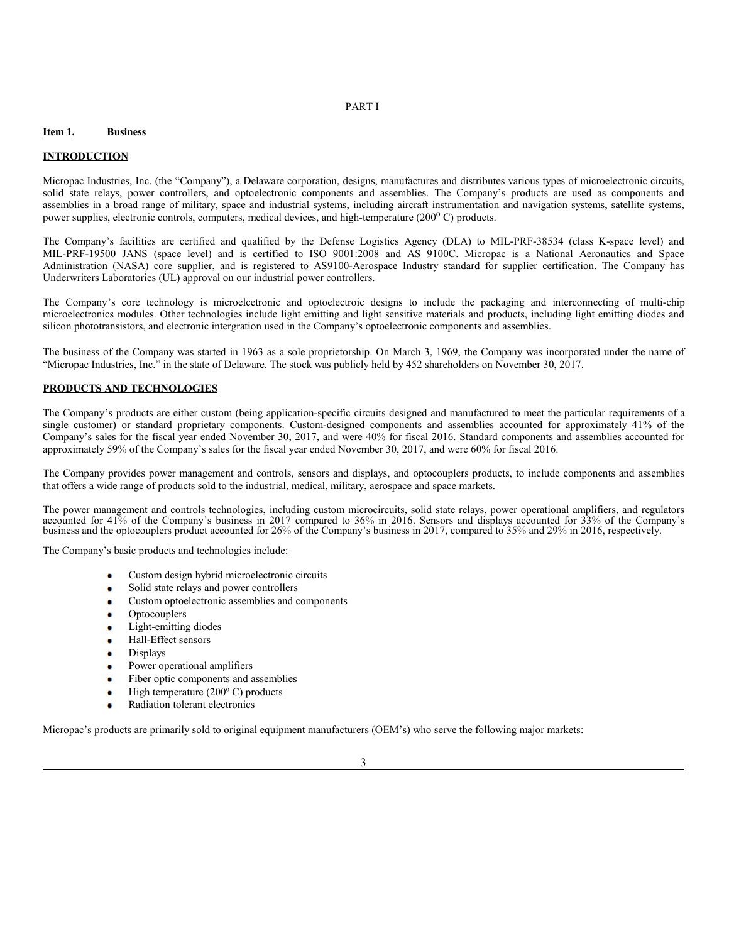### PART I

### **Item 1. Business**

#### **INTRODUCTION**

Micropac Industries, Inc. (the "Company"), a Delaware corporation, designs, manufactures and distributes various types of microelectronic circuits, solid state relays, power controllers, and optoelectronic components and assemblies. The Company's products are used as components and assemblies in a broad range of military, space and industrial systems, including aircraft instrumentation and navigation systems, satellite systems, power supplies, electronic controls, computers, medical devices, and high-temperature (200°C) products.

The Company's facilities are certified and qualified by the Defense Logistics Agency (DLA) to MIL-PRF-38534 (class K-space level) and MIL-PRF-19500 JANS (space level) and is certified to ISO 9001:2008 and AS 9100C. Micropac is a National Aeronautics and Space Administration (NASA) core supplier, and is registered to AS9100-Aerospace Industry standard for supplier certification. The Company has Underwriters Laboratories (UL) approval on our industrial power controllers.

The Company's core technology is microelcetronic and optoelectroic designs to include the packaging and interconnecting of multi-chip microelectronics modules. Other technologies include light emitting and light sensitive materials and products, including light emitting diodes and silicon phototransistors, and electronic intergration used in the Company's optoelectronic components and assemblies.

The business of the Company was started in 1963 as a sole proprietorship. On March 3, 1969, the Company was incorporated under the name of "Micropac Industries, Inc." in the state of Delaware. The stock was publicly held by 452 shareholders on November 30, 2017.

#### **PRODUCTS AND TECHNOLOGIES**

The Company's products are either custom (being application-specific circuits designed and manufactured to meet the particular requirements of a single customer) or standard proprietary components. Custom-designed components and assemblies accounted for approximately 41% of the Company's sales for the fiscal year ended November 30, 2017, and were 40% for fiscal 2016. Standard components and assemblies accounted for approximately 59% of the Company's sales for the fiscal year ended November 30, 2017, and were 60% for fiscal 2016.

The Company provides power management and controls, sensors and displays, and optocouplers products, to include components and assemblies that offers a wide range of products sold to the industrial, medical, military, aerospace and space markets.

The power management and controls technologies, including custom microcircuits, solid state relays, power operational amplifiers, and regulators accounted for 41% of the Company's business in 2017 compared to 36% in 2016. Sensors and displays accounted for 33% of the Company's business and the optocouplers product accounted for 26% of the Company's business in 2017, compared to 35% and 29% in 2016, respectively.

The Company's basic products and technologies include:

- Custom design hybrid microelectronic circuits
- Solid state relays and power controllers
- Custom optoelectronic assemblies and components
- Optocouplers
- Light-emitting diodes
- Hall-Effect sensors ä
- Displays ö
- Power operational amplifiers
- ä Fiber optic components and assemblies
- ä. High temperature (200º C) products
- Radiation tolerant electronics ö

Micropac's products are primarily sold to original equipment manufacturers (OEM's) who serve the following major markets: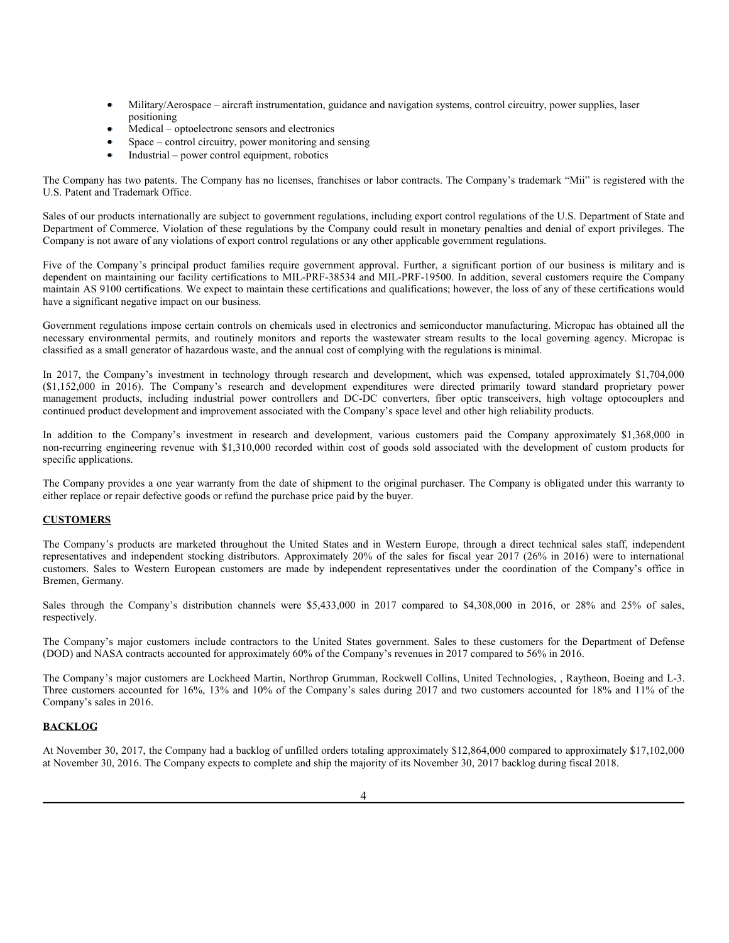- Military/Aerospace aircraft instrumentation, guidance and navigation systems, control circuitry, power supplies, laser positioning
- Medical optoelectronc sensors and electronics
- Space control circuitry, power monitoring and sensing
- Industrial power control equipment, robotics

The Company has two patents. The Company has no licenses, franchises or labor contracts. The Company's trademark "Mii" is registered with the U.S. Patent and Trademark Office.

Sales of our products internationally are subject to government regulations, including export control regulations of the U.S. Department of State and Department of Commerce. Violation of these regulations by the Company could result in monetary penalties and denial of export privileges. The Company is not aware of any violations of export control regulations or any other applicable government regulations.

Five of the Company's principal product families require government approval. Further, a significant portion of our business is military and is dependent on maintaining our facility certifications to MIL-PRF-38534 and MIL-PRF-19500. In addition, several customers require the Company maintain AS 9100 certifications. We expect to maintain these certifications and qualifications; however, the loss of any of these certifications would have a significant negative impact on our business.

Government regulations impose certain controls on chemicals used in electronics and semiconductor manufacturing. Micropac has obtained all the necessary environmental permits, and routinely monitors and reports the wastewater stream results to the local governing agency. Micropac is classified as a small generator of hazardous waste, and the annual cost of complying with the regulations is minimal.

In 2017, the Company's investment in technology through research and development, which was expensed, totaled approximately \$1,704,000 (\$1,152,000 in 2016). The Company's research and development expenditures were directed primarily toward standard proprietary power management products, including industrial power controllers and DC-DC converters, fiber optic transceivers, high voltage optocouplers and continued product development and improvement associated with the Company's space level and other high reliability products.

In addition to the Company's investment in research and development, various customers paid the Company approximately \$1,368,000 in non-recurring engineering revenue with \$1,310,000 recorded within cost of goods sold associated with the development of custom products for specific applications.

The Company provides a one year warranty from the date of shipment to the original purchaser. The Company is obligated under this warranty to either replace or repair defective goods or refund the purchase price paid by the buyer.

### **CUSTOMERS**

The Company's products are marketed throughout the United States and in Western Europe, through a direct technical sales staff, independent representatives and independent stocking distributors. Approximately 20% of the sales for fiscal year 2017 (26% in 2016) were to international customers. Sales to Western European customers are made by independent representatives under the coordination of the Company's office in Bremen, Germany.

Sales through the Company's distribution channels were \$5,433,000 in 2017 compared to \$4,308,000 in 2016, or 28% and 25% of sales, respectively.

The Company's major customers include contractors to the United States government. Sales to these customers for the Department of Defense (DOD) and NASA contracts accounted for approximately 60% of the Company's revenues in 2017 compared to 56% in 2016.

The Company's major customers are Lockheed Martin, Northrop Grumman, Rockwell Collins, United Technologies, , Raytheon, Boeing and L-3. Three customers accounted for 16%, 13% and 10% of the Company's sales during 2017 and two customers accounted for 18% and 11% of the Company's sales in 2016.

### **BACKLOG**

At November 30, 2017, the Company had a backlog of unfilled orders totaling approximately \$12,864,000 compared to approximately \$17,102,000 at November 30, 2016. The Company expects to complete and ship the majority of its November 30, 2017 backlog during fiscal 2018.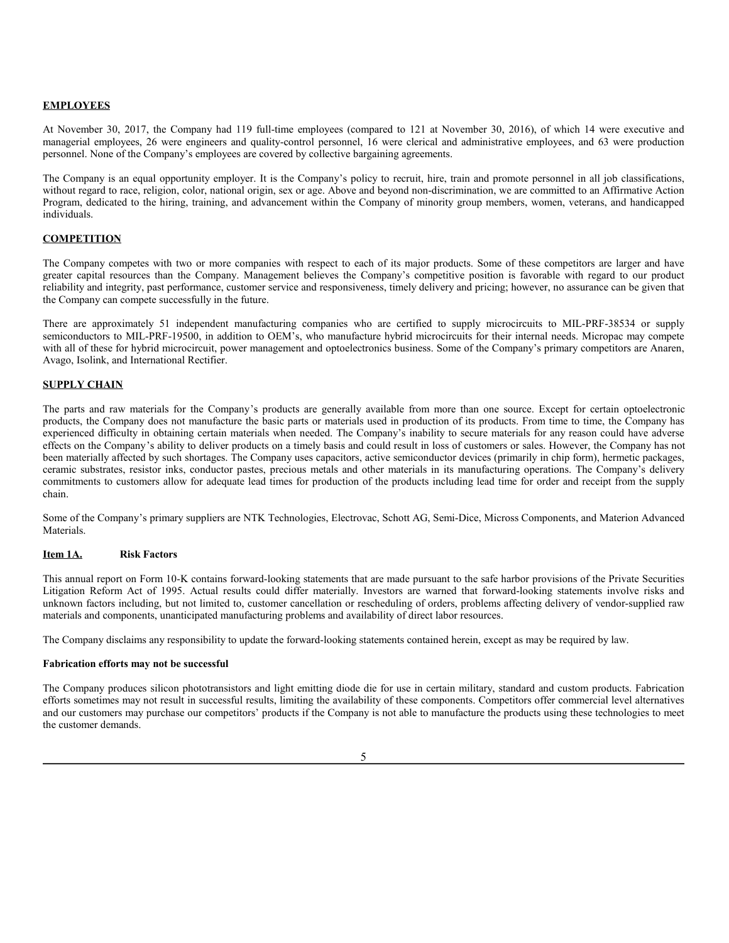### **EMPLOYEES**

At November 30, 2017, the Company had 119 full-time employees (compared to 121 at November 30, 2016), of which 14 were executive and managerial employees, 26 were engineers and quality-control personnel, 16 were clerical and administrative employees, and 63 were production personnel. None of the Company's employees are covered by collective bargaining agreements.

The Company is an equal opportunity employer. It is the Company's policy to recruit, hire, train and promote personnel in all job classifications, without regard to race, religion, color, national origin, sex or age. Above and beyond non-discrimination, we are committed to an Affirmative Action Program, dedicated to the hiring, training, and advancement within the Company of minority group members, women, veterans, and handicapped individuals.

### **COMPETITION**

The Company competes with two or more companies with respect to each of its major products. Some of these competitors are larger and have greater capital resources than the Company. Management believes the Company's competitive position is favorable with regard to our product reliability and integrity, past performance, customer service and responsiveness, timely delivery and pricing; however, no assurance can be given that the Company can compete successfully in the future.

There are approximately 51 independent manufacturing companies who are certified to supply microcircuits to MIL-PRF-38534 or supply semiconductors to MIL-PRF-19500, in addition to OEM's, who manufacture hybrid microcircuits for their internal needs. Micropac may compete with all of these for hybrid microcircuit, power management and optoelectronics business. Some of the Company's primary competitors are Anaren, Avago, Isolink, and International Rectifier.

### **SUPPLY CHAIN**

The parts and raw materials for the Company's products are generally available from more than one source. Except for certain optoelectronic products, the Company does not manufacture the basic parts or materials used in production of its products. From time to time, the Company has experienced difficulty in obtaining certain materials when needed. The Company's inability to secure materials for any reason could have adverse effects on the Company's ability to deliver products on a timely basis and could result in loss of customers or sales. However, the Company has not been materially affected by such shortages. The Company uses capacitors, active semiconductor devices (primarily in chip form), hermetic packages, ceramic substrates, resistor inks, conductor pastes, precious metals and other materials in its manufacturing operations. The Company's delivery commitments to customers allow for adequate lead times for production of the products including lead time for order and receipt from the supply chain.

Some of the Company's primary suppliers are NTK Technologies, Electrovac, Schott AG, Semi-Dice, Micross Components, and Materion Advanced Materials.

### **Item 1A. Risk Factors**

This annual report on Form 10-K contains forward-looking statements that are made pursuant to the safe harbor provisions of the Private Securities Litigation Reform Act of 1995. Actual results could differ materially. Investors are warned that forward-looking statements involve risks and unknown factors including, but not limited to, customer cancellation or rescheduling of orders, problems affecting delivery of vendor-supplied raw materials and components, unanticipated manufacturing problems and availability of direct labor resources.

The Company disclaims any responsibility to update the forward-looking statements contained herein, except as may be required by law.

### **Fabrication efforts may not be successful**

The Company produces silicon phototransistors and light emitting diode die for use in certain military, standard and custom products. Fabrication efforts sometimes may not result in successful results, limiting the availability of these components. Competitors offer commercial level alternatives and our customers may purchase our competitors' products if the Company is not able to manufacture the products using these technologies to meet the customer demands.

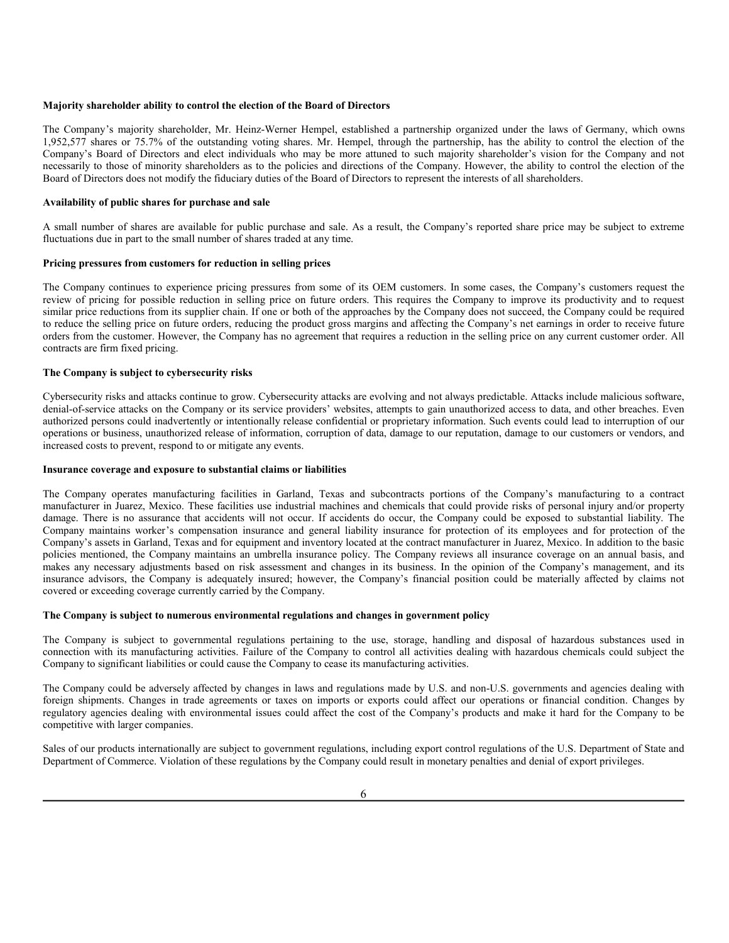#### **Majority shareholder ability to control the election of the Board of Directors**

The Company's majority shareholder, Mr. Heinz-Werner Hempel, established a partnership organized under the laws of Germany, which owns 1,952,577 shares or 75.7% of the outstanding voting shares. Mr. Hempel, through the partnership, has the ability to control the election of the Company's Board of Directors and elect individuals who may be more attuned to such majority shareholder's vision for the Company and not necessarily to those of minority shareholders as to the policies and directions of the Company. However, the ability to control the election of the Board of Directors does not modify the fiduciary duties of the Board of Directors to represent the interests of all shareholders.

### **Availability of public shares for purchase and sale**

A small number of shares are available for public purchase and sale. As a result, the Company's reported share price may be subject to extreme fluctuations due in part to the small number of shares traded at any time.

#### **Pricing pressures from customers for reduction in selling prices**

The Company continues to experience pricing pressures from some of its OEM customers. In some cases, the Company's customers request the review of pricing for possible reduction in selling price on future orders. This requires the Company to improve its productivity and to request similar price reductions from its supplier chain. If one or both of the approaches by the Company does not succeed, the Company could be required to reduce the selling price on future orders, reducing the product gross margins and affecting the Company's net earnings in order to receive future orders from the customer. However, the Company has no agreement that requires a reduction in the selling price on any current customer order. All contracts are firm fixed pricing.

### **The Company is subject to cybersecurity risks**

Cybersecurity risks and attacks continue to grow. Cybersecurity attacks are evolving and not always predictable. Attacks include malicious software, denial-of-service attacks on the Company or its service providers' websites, attempts to gain unauthorized access to data, and other breaches. Even authorized persons could inadvertently or intentionally release confidential or proprietary information. Such events could lead to interruption of our operations or business, unauthorized release of information, corruption of data, damage to our reputation, damage to our customers or vendors, and increased costs to prevent, respond to or mitigate any events.

#### **Insurance coverage and exposure to substantial claims or liabilities**

The Company operates manufacturing facilities in Garland, Texas and subcontracts portions of the Company's manufacturing to a contract manufacturer in Juarez, Mexico. These facilities use industrial machines and chemicals that could provide risks of personal injury and/or property damage. There is no assurance that accidents will not occur. If accidents do occur, the Company could be exposed to substantial liability. The Company maintains worker's compensation insurance and general liability insurance for protection of its employees and for protection of the Company's assets in Garland, Texas and for equipment and inventory located at the contract manufacturer in Juarez, Mexico. In addition to the basic policies mentioned, the Company maintains an umbrella insurance policy. The Company reviews all insurance coverage on an annual basis, and makes any necessary adjustments based on risk assessment and changes in its business. In the opinion of the Company's management, and its insurance advisors, the Company is adequately insured; however, the Company's financial position could be materially affected by claims not covered or exceeding coverage currently carried by the Company.

#### **The Company is subject to numerous environmental regulations and changes in government policy**

The Company is subject to governmental regulations pertaining to the use, storage, handling and disposal of hazardous substances used in connection with its manufacturing activities. Failure of the Company to control all activities dealing with hazardous chemicals could subject the Company to significant liabilities or could cause the Company to cease its manufacturing activities.

The Company could be adversely affected by changes in laws and regulations made by U.S. and non-U.S. governments and agencies dealing with foreign shipments. Changes in trade agreements or taxes on imports or exports could affect our operations or financial condition. Changes by regulatory agencies dealing with environmental issues could affect the cost of the Company's products and make it hard for the Company to be competitive with larger companies.

Sales of our products internationally are subject to government regulations, including export control regulations of the U.S. Department of State and Department of Commerce. Violation of these regulations by the Company could result in monetary penalties and denial of export privileges.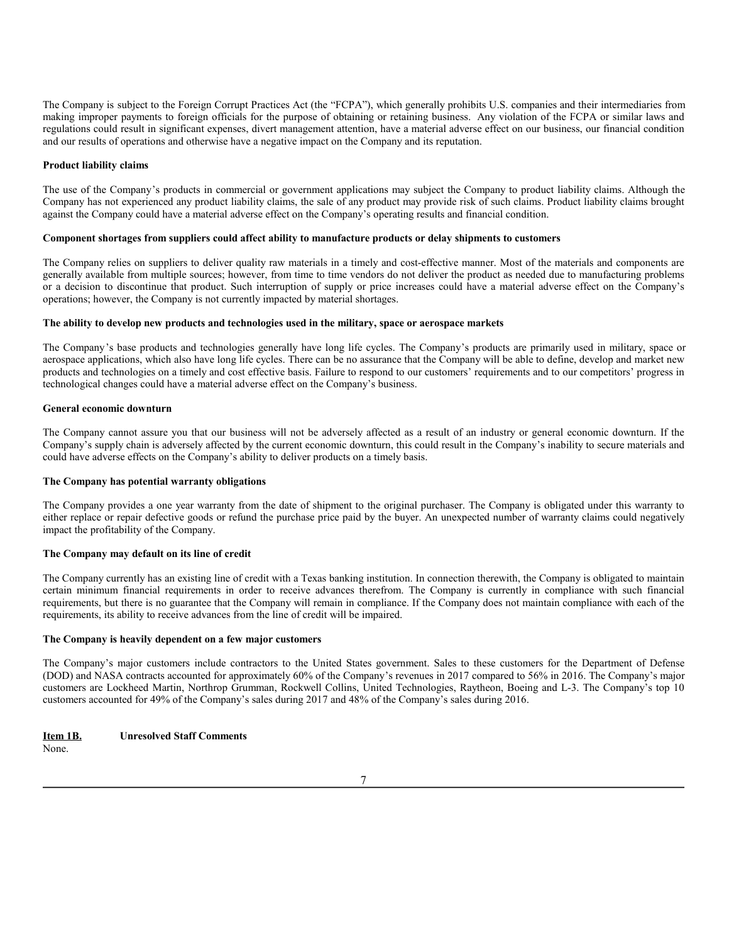The Company is subject to the Foreign Corrupt Practices Act (the "FCPA"), which generally prohibits U.S. companies and their intermediaries from making improper payments to foreign officials for the purpose of obtaining or retaining business. Any violation of the FCPA or similar laws and regulations could result in significant expenses, divert management attention, have a material adverse effect on our business, our financial condition and our results of operations and otherwise have a negative impact on the Company and its reputation.

#### **Product liability claims**

The use of the Company's products in commercial or government applications may subject the Company to product liability claims. Although the Company has not experienced any product liability claims, the sale of any product may provide risk of such claims. Product liability claims brought against the Company could have a material adverse effect on the Company's operating results and financial condition.

#### **Component shortages from suppliers could affect ability to manufacture products or delay shipments to customers**

The Company relies on suppliers to deliver quality raw materials in a timely and cost-effective manner. Most of the materials and components are generally available from multiple sources; however, from time to time vendors do not deliver the product as needed due to manufacturing problems or a decision to discontinue that product. Such interruption of supply or price increases could have a material adverse effect on the Company's operations; however, the Company is not currently impacted by material shortages.

### **The ability to develop new products and technologies used in the military, space or aerospace markets**

The Company's base products and technologies generally have long life cycles. The Company's products are primarily used in military, space or aerospace applications, which also have long life cycles. There can be no assurance that the Company will be able to define, develop and market new products and technologies on a timely and cost effective basis. Failure to respond to our customers' requirements and to our competitors' progress in technological changes could have a material adverse effect on the Company's business.

#### **General economic downturn**

The Company cannot assure you that our business will not be adversely affected as a result of an industry or general economic downturn. If the Company's supply chain is adversely affected by the current economic downturn, this could result in the Company's inability to secure materials and could have adverse effects on the Company's ability to deliver products on a timely basis.

#### **The Company has potential warranty obligations**

The Company provides a one year warranty from the date of shipment to the original purchaser. The Company is obligated under this warranty to either replace or repair defective goods or refund the purchase price paid by the buyer. An unexpected number of warranty claims could negatively impact the profitability of the Company.

#### **The Company may default on its line of credit**

The Company currently has an existing line of credit with a Texas banking institution. In connection therewith, the Company is obligated to maintain certain minimum financial requirements in order to receive advances therefrom. The Company is currently in compliance with such financial requirements, but there is no guarantee that the Company will remain in compliance. If the Company does not maintain compliance with each of the requirements, its ability to receive advances from the line of credit will be impaired.

#### **The Company is heavily dependent on a few major customers**

The Company's major customers include contractors to the United States government. Sales to these customers for the Department of Defense (DOD) and NASA contracts accounted for approximately 60% of the Company's revenues in 2017 compared to 56% in 2016. The Company's major customers are Lockheed Martin, Northrop Grumman, Rockwell Collins, United Technologies, Raytheon, Boeing and L-3. The Company's top 10 customers accounted for 49% of the Company's sales during 2017 and 48% of the Company's sales during 2016.

None. **Item 1B. Unresolved Staff Comments**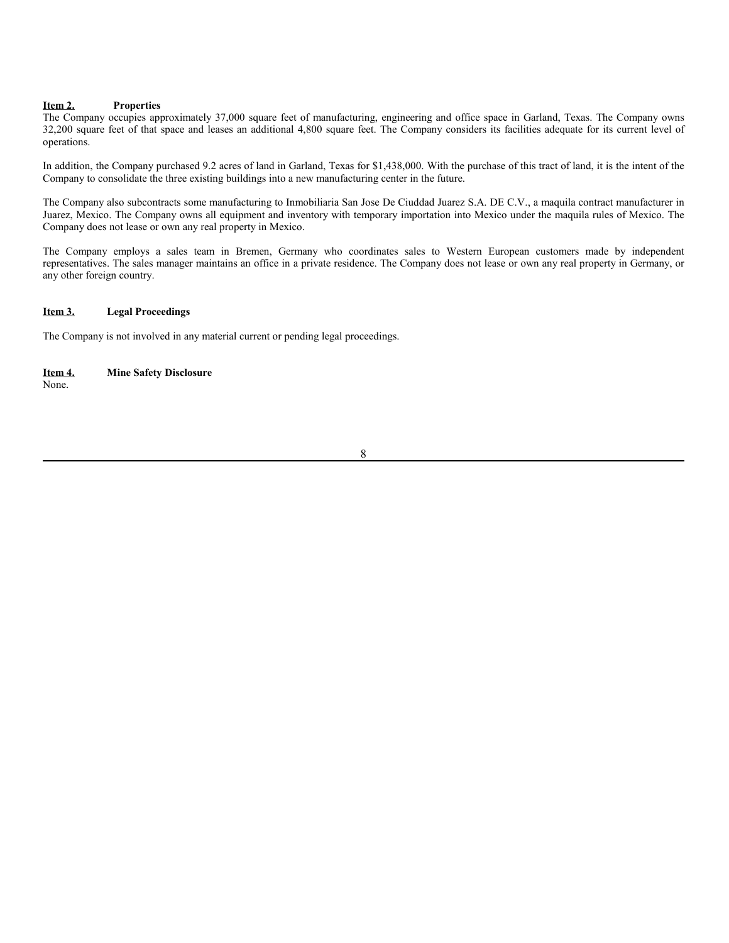### **Item 2. Properties**

The Company occupies approximately 37,000 square feet of manufacturing, engineering and office space in Garland, Texas. The Company owns 32,200 square feet of that space and leases an additional 4,800 square feet. The Company considers its facilities adequate for its current level of operations.

In addition, the Company purchased 9.2 acres of land in Garland, Texas for \$1,438,000. With the purchase of this tract of land, it is the intent of the Company to consolidate the three existing buildings into a new manufacturing center in the future.

The Company also subcontracts some manufacturing to Inmobiliaria San Jose De Ciuddad Juarez S.A. DE C.V., a maquila contract manufacturer in Juarez, Mexico. The Company owns all equipment and inventory with temporary importation into Mexico under the maquila rules of Mexico. The Company does not lease or own any real property in Mexico.

The Company employs a sales team in Bremen, Germany who coordinates sales to Western European customers made by independent representatives. The sales manager maintains an office in a private residence. The Company does not lease or own any real property in Germany, or any other foreign country.

### **Item 3. Legal Proceedings**

The Company is not involved in any material current or pending legal proceedings.

None. **Item 4. Mine Safety Disclosure**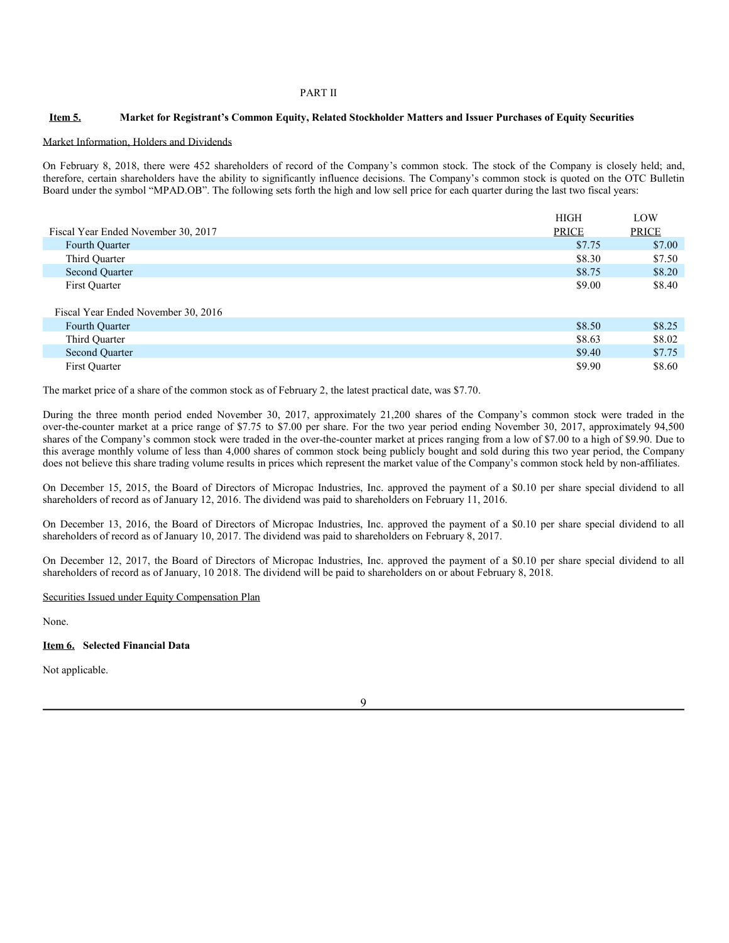### PART II

### Item 5. Market for Registrant's Common Equity, Related Stockholder Matters and Issuer Purchases of Equity Securities

#### Market Information, Holders and Dividends

On February 8, 2018, there were 452 shareholders of record of the Company's common stock. The stock of the Company is closely held; and, therefore, certain shareholders have the ability to significantly influence decisions. The Company's common stock is quoted on the OTC Bulletin Board under the symbol "MPAD.OB". The following sets forth the high and low sell price for each quarter during the last two fiscal years:

|                                     | <b>HIGH</b>  | LOW          |
|-------------------------------------|--------------|--------------|
| Fiscal Year Ended November 30, 2017 | <b>PRICE</b> | <b>PRICE</b> |
| Fourth Quarter                      | \$7.75       | \$7.00       |
| Third Quarter                       | \$8.30       | \$7.50       |
| Second Quarter                      | \$8.75       | \$8.20       |
| First Quarter                       | \$9.00       | \$8.40       |
|                                     |              |              |
| Fiscal Year Ended November 30, 2016 |              |              |
| Fourth Quarter                      | \$8.50       | \$8.25       |
| Third Quarter                       | \$8.63       | \$8.02       |
| Second Quarter                      | \$9.40       | \$7.75       |
| First Quarter                       |              |              |

The market price of a share of the common stock as of February 2, the latest practical date, was \$7.70.

During the three month period ended November 30, 2017, approximately 21,200 shares of the Company's common stock were traded in the over-the-counter market at a price range of \$7.75 to \$7.00 per share. For the two year period ending November 30, 2017, approximately 94,500 shares of the Company's common stock were traded in the over-the-counter market at prices ranging from a low of \$7.00 to a high of \$9.90. Due to this average monthly volume of less than 4,000 shares of common stock being publicly bought and sold during this two year period, the Company does not believe this share trading volume results in prices which represent the market value of the Company's common stock held by non-affiliates.

On December 15, 2015, the Board of Directors of Micropac Industries, Inc. approved the payment of a \$0.10 per share special dividend to all shareholders of record as of January 12, 2016. The dividend was paid to shareholders on February 11, 2016.

On December 13, 2016, the Board of Directors of Micropac Industries, Inc. approved the payment of a \$0.10 per share special dividend to all shareholders of record as of January 10, 2017. The dividend was paid to shareholders on February 8, 2017.

On December 12, 2017, the Board of Directors of Micropac Industries, Inc. approved the payment of a \$0.10 per share special dividend to all shareholders of record as of January, 10 2018. The dividend will be paid to shareholders on or about February 8, 2018.

Securities Issued under Equity Compensation Plan

None.

#### **Item 6. Selected Financial Data**

Not applicable.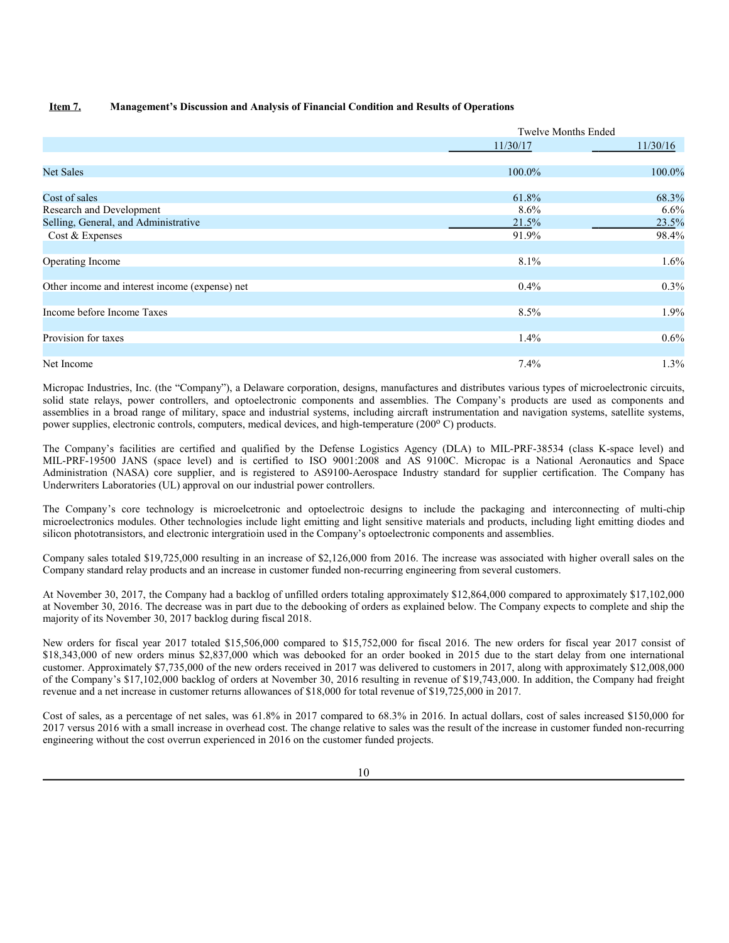### **Item 7. Management's Discussion and Analysis of Financial Condition and Results of Operations**

|                                                | <b>Twelve Months Ended</b> |          |
|------------------------------------------------|----------------------------|----------|
|                                                | 11/30/17                   | 11/30/16 |
|                                                |                            |          |
| <b>Net Sales</b>                               | 100.0%                     | 100.0%   |
| Cost of sales                                  | 61.8%                      | 68.3%    |
| Research and Development                       | 8.6%                       | 6.6%     |
| Selling, General, and Administrative           | 21.5%                      | 23.5%    |
| Cost & Expenses                                | 91.9%                      | 98.4%    |
| Operating Income                               | 8.1%                       | 1.6%     |
| Other income and interest income (expense) net | $0.4\%$                    | 0.3%     |
| Income before Income Taxes                     | 8.5%                       | 1.9%     |
| Provision for taxes                            | 1.4%                       | 0.6%     |
| Net Income                                     | $7.4\%$                    | 1.3%     |

Micropac Industries, Inc. (the "Company"), a Delaware corporation, designs, manufactures and distributes various types of microelectronic circuits, solid state relays, power controllers, and optoelectronic components and assemblies. The Company's products are used as components and assemblies in a broad range of military, space and industrial systems, including aircraft instrumentation and navigation systems, satellite systems, power supplies, electronic controls, computers, medical devices, and high-temperature (200°C) products.

The Company's facilities are certified and qualified by the Defense Logistics Agency (DLA) to MIL-PRF-38534 (class K-space level) and MIL-PRF-19500 JANS (space level) and is certified to ISO 9001:2008 and AS 9100C. Micropac is a National Aeronautics and Space Administration (NASA) core supplier, and is registered to AS9100-Aerospace Industry standard for supplier certification. The Company has Underwriters Laboratories (UL) approval on our industrial power controllers.

The Company's core technology is microelcetronic and optoelectroic designs to include the packaging and interconnecting of multi-chip microelectronics modules. Other technologies include light emitting and light sensitive materials and products, including light emitting diodes and silicon phototransistors, and electronic intergratioin used in the Company's optoelectronic components and assemblies.

Company sales totaled \$19,725,000 resulting in an increase of \$2,126,000 from 2016. The increase was associated with higher overall sales on the Company standard relay products and an increase in customer funded non-recurring engineering from several customers.

At November 30, 2017, the Company had a backlog of unfilled orders totaling approximately \$12,864,000 compared to approximately \$17,102,000 at November 30, 2016. The decrease was in part due to the debooking of orders as explained below. The Company expects to complete and ship the majority of its November 30, 2017 backlog during fiscal 2018.

New orders for fiscal year 2017 totaled \$15,506,000 compared to \$15,752,000 for fiscal 2016. The new orders for fiscal year 2017 consist of \$18,343,000 of new orders minus \$2,837,000 which was debooked for an order booked in 2015 due to the start delay from one international customer. Approximately \$7,735,000 of the new orders received in 2017 was delivered to customers in 2017, along with approximately \$12,008,000 of the Company's \$17,102,000 backlog of orders at November 30, 2016 resulting in revenue of \$19,743,000. In addition, the Company had freight revenue and a net increase in customer returns allowances of \$18,000 for total revenue of \$19,725,000 in 2017.

Cost of sales, as a percentage of net sales, was 61.8% in 2017 compared to 68.3% in 2016. In actual dollars, cost of sales increased \$150,000 for 2017 versus 2016 with a small increase in overhead cost. The change relative to sales was the result of the increase in customer funded non-recurring engineering without the cost overrun experienced in 2016 on the customer funded projects.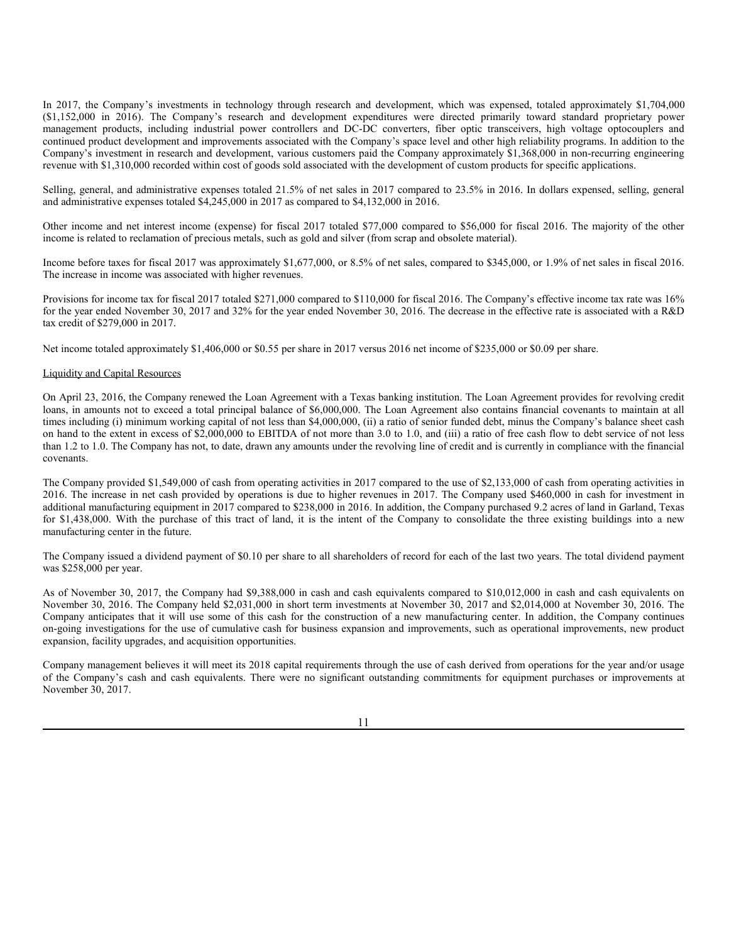In 2017, the Company's investments in technology through research and development, which was expensed, totaled approximately \$1,704,000 (\$1,152,000 in 2016). The Company's research and development expenditures were directed primarily toward standard proprietary power management products, including industrial power controllers and DC-DC converters, fiber optic transceivers, high voltage optocouplers and continued product development and improvements associated with the Company's space level and other high reliability programs. In addition to the Company's investment in research and development, various customers paid the Company approximately \$1,368,000 in non-recurring engineering revenue with \$1,310,000 recorded within cost of goods sold associated with the development of custom products for specific applications.

Selling, general, and administrative expenses totaled 21.5% of net sales in 2017 compared to 23.5% in 2016. In dollars expensed, selling, general and administrative expenses totaled \$4,245,000 in 2017 as compared to \$4,132,000 in 2016.

Other income and net interest income (expense) for fiscal 2017 totaled \$77,000 compared to \$56,000 for fiscal 2016. The majority of the other income is related to reclamation of precious metals, such as gold and silver (from scrap and obsolete material).

Income before taxes for fiscal 2017 was approximately \$1,677,000, or 8.5% of net sales, compared to \$345,000, or 1.9% of net sales in fiscal 2016. The increase in income was associated with higher revenues.

Provisions for income tax for fiscal 2017 totaled \$271,000 compared to \$110,000 for fiscal 2016. The Company's effective income tax rate was 16% for the year ended November 30, 2017 and 32% for the year ended November 30, 2016. The decrease in the effective rate is associated with a R&D tax credit of \$279,000 in 2017.

Net income totaled approximately \$1,406,000 or \$0.55 per share in 2017 versus 2016 net income of \$235,000 or \$0.09 per share.

#### Liquidity and Capital Resources

On April 23, 2016, the Company renewed the Loan Agreement with a Texas banking institution. The Loan Agreement provides for revolving credit loans, in amounts not to exceed a total principal balance of \$6,000,000. The Loan Agreement also contains financial covenants to maintain at all times including (i) minimum working capital of not less than \$4,000,000, (ii) a ratio of senior funded debt, minus the Company's balance sheet cash on hand to the extent in excess of \$2,000,000 to EBITDA of not more than 3.0 to 1.0, and (iii) a ratio of free cash flow to debt service of not less than 1.2 to 1.0. The Company has not, to date, drawn any amounts under the revolving line of credit and is currently in compliance with the financial covenants.

The Company provided \$1,549,000 of cash from operating activities in 2017 compared to the use of \$2,133,000 of cash from operating activities in 2016. The increase in net cash provided by operations is due to higher revenues in 2017. The Company used \$460,000 in cash for investment in additional manufacturing equipment in 2017 compared to \$238,000 in 2016. In addition, the Company purchased 9.2 acres of land in Garland, Texas for \$1,438,000. With the purchase of this tract of land, it is the intent of the Company to consolidate the three existing buildings into a new manufacturing center in the future.

The Company issued a dividend payment of \$0.10 per share to all shareholders of record for each of the last two years. The total dividend payment was \$258,000 per year.

As of November 30, 2017, the Company had \$9,388,000 in cash and cash equivalents compared to \$10,012,000 in cash and cash equivalents on November 30, 2016. The Company held \$2,031,000 in short term investments at November 30, 2017 and \$2,014,000 at November 30, 2016. The Company anticipates that it will use some of this cash for the construction of a new manufacturing center. In addition, the Company continues on-going investigations for the use of cumulative cash for business expansion and improvements, such as operational improvements, new product expansion, facility upgrades, and acquisition opportunities.

Company management believes it will meet its 2018 capital requirements through the use of cash derived from operations for the year and/or usage of the Company's cash and cash equivalents. There were no significant outstanding commitments for equipment purchases or improvements at November 30, 2017.

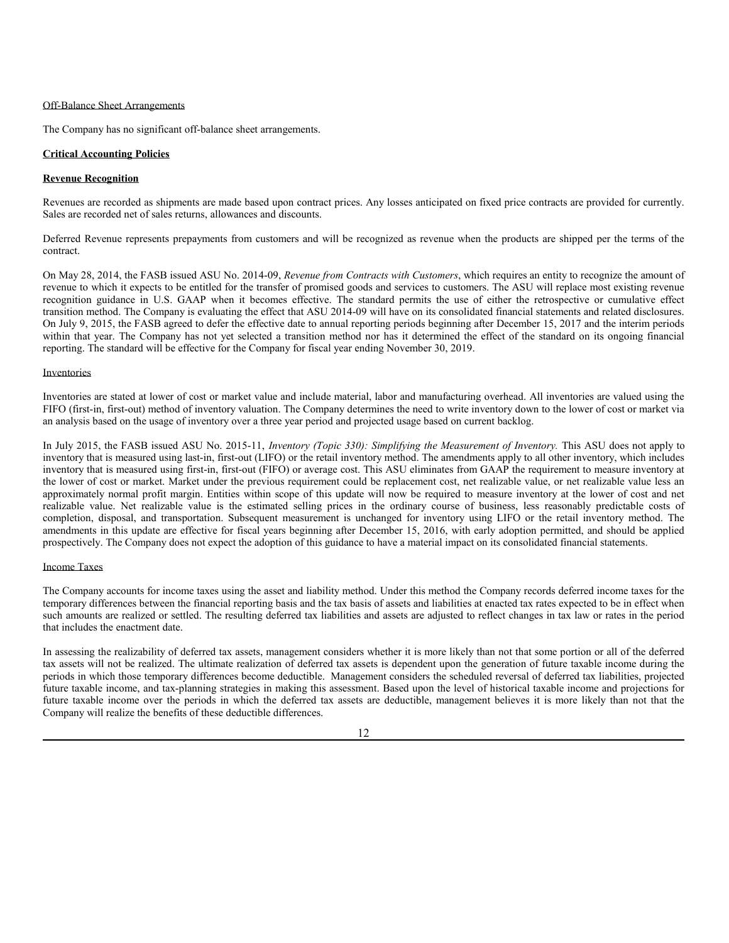#### Off-Balance Sheet Arrangements

The Company has no significant off-balance sheet arrangements.

### **Critical Accounting Policies**

#### **Revenue Recognition**

Revenues are recorded as shipments are made based upon contract prices. Any losses anticipated on fixed price contracts are provided for currently. Sales are recorded net of sales returns, allowances and discounts.

Deferred Revenue represents prepayments from customers and will be recognized as revenue when the products are shipped per the terms of the contract.

On May 28, 2014, the FASB issued ASU No. 2014-09, *Revenue from Contracts with Customers*, which requires an entity to recognize the amount of revenue to which it expects to be entitled for the transfer of promised goods and services to customers. The ASU will replace most existing revenue recognition guidance in U.S. GAAP when it becomes effective. The standard permits the use of either the retrospective or cumulative effect transition method. The Company is evaluating the effect that ASU 2014-09 will have on its consolidated financial statements and related disclosures. On July 9, 2015, the FASB agreed to defer the effective date to annual reporting periods beginning after December 15, 2017 and the interim periods within that year. The Company has not yet selected a transition method nor has it determined the effect of the standard on its ongoing financial reporting. The standard will be effective for the Company for fiscal year ending November 30, 2019.

#### Inventories

Inventories are stated at lower of cost or market value and include material, labor and manufacturing overhead. All inventories are valued using the FIFO (first-in, first-out) method of inventory valuation. The Company determines the need to write inventory down to the lower of cost or market via an analysis based on the usage of inventory over a three year period and projected usage based on current backlog.

In July 2015, the FASB issued ASU No. 2015-11, *Inventory (Topic 330): Simplifying the Measurement of Inventory.* This ASU does not apply to inventory that is measured using last-in, first-out (LIFO) or the retail inventory method. The amendments apply to all other inventory, which includes inventory that is measured using first-in, first-out (FIFO) or average cost. This ASU eliminates from GAAP the requirement to measure inventory at the lower of cost or market. Market under the previous requirement could be replacement cost, net realizable value, or net realizable value less an approximately normal profit margin. Entities within scope of this update will now be required to measure inventory at the lower of cost and net realizable value. Net realizable value is the estimated selling prices in the ordinary course of business, less reasonably predictable costs of completion, disposal, and transportation. Subsequent measurement is unchanged for inventory using LIFO or the retail inventory method. The amendments in this update are effective for fiscal years beginning after December 15, 2016, with early adoption permitted, and should be applied prospectively. The Company does not expect the adoption of this guidance to have a material impact on its consolidated financial statements.

#### Income Taxes

The Company accounts for income taxes using the asset and liability method. Under this method the Company records deferred income taxes for the temporary differences between the financial reporting basis and the tax basis of assets and liabilities at enacted tax rates expected to be in effect when such amounts are realized or settled. The resulting deferred tax liabilities and assets are adjusted to reflect changes in tax law or rates in the period that includes the enactment date.

In assessing the realizability of deferred tax assets, management considers whether it is more likely than not that some portion or all of the deferred tax assets will not be realized. The ultimate realization of deferred tax assets is dependent upon the generation of future taxable income during the periods in which those temporary differences become deductible. Management considers the scheduled reversal of deferred tax liabilities, projected future taxable income, and tax-planning strategies in making this assessment. Based upon the level of historical taxable income and projections for future taxable income over the periods in which the deferred tax assets are deductible, management believes it is more likely than not that the Company will realize the benefits of these deductible differences.

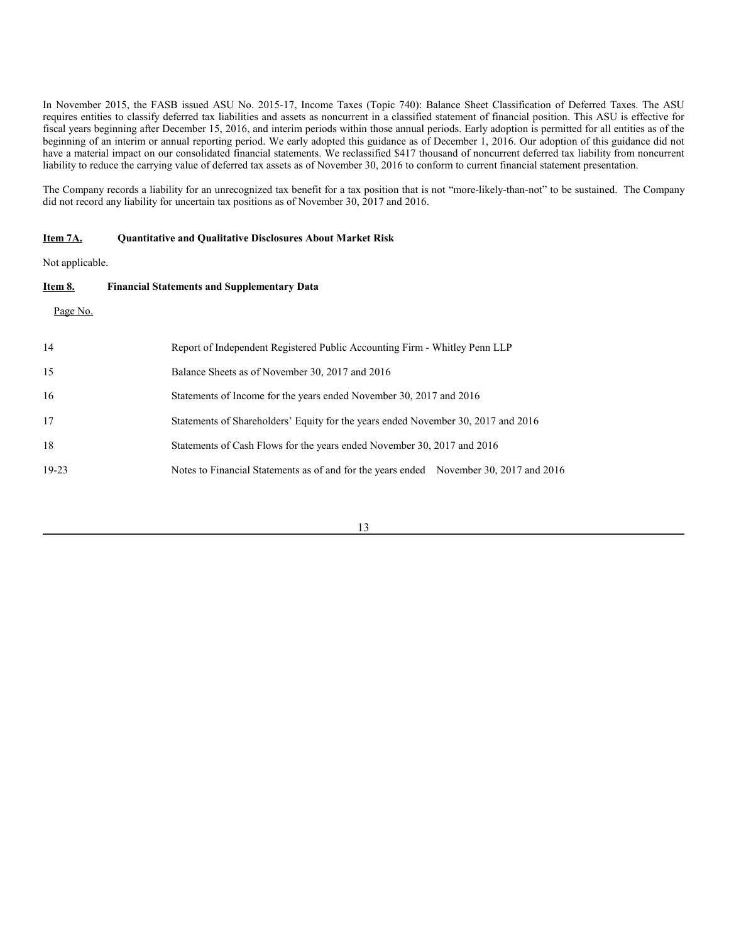In November 2015, the FASB issued ASU No. 2015-17, Income Taxes (Topic 740): Balance Sheet Classification of Deferred Taxes. The ASU requires entities to classify deferred tax liabilities and assets as noncurrent in a classified statement of financial position. This ASU is effective for fiscal years beginning after December 15, 2016, and interim periods within those annual periods. Early adoption is permitted for all entities as of the beginning of an interim or annual reporting period. We early adopted this guidance as of December 1, 2016. Our adoption of this guidance did not have a material impact on our consolidated financial statements. We reclassified \$417 thousand of noncurrent deferred tax liability from noncurrent liability to reduce the carrying value of deferred tax assets as of November 30, 2016 to conform to current financial statement presentation.

The Company records a liability for an unrecognized tax benefit for a tax position that is not "more-likely-than-not" to be sustained. The Company did not record any liability for uncertain tax positions as of November 30, 2017 and 2016.

### **Item 7A. Quantitative and Qualitative Disclosures About Market Risk**

Not applicable.

| Item 8.   | <b>Financial Statements and Supplementary Data</b>                                     |
|-----------|----------------------------------------------------------------------------------------|
| Page No.  |                                                                                        |
| 14        | Report of Independent Registered Public Accounting Firm - Whitley Penn LLP             |
| 15        | Balance Sheets as of November 30, 2017 and 2016                                        |
| 16        | Statements of Income for the years ended November 30, 2017 and 2016                    |
| 17        | Statements of Shareholders' Equity for the years ended November 30, 2017 and 2016      |
| 18        | Statements of Cash Flows for the years ended November 30, 2017 and 2016                |
| $19 - 23$ | Notes to Financial Statements as of and for the years ended November 30, 2017 and 2016 |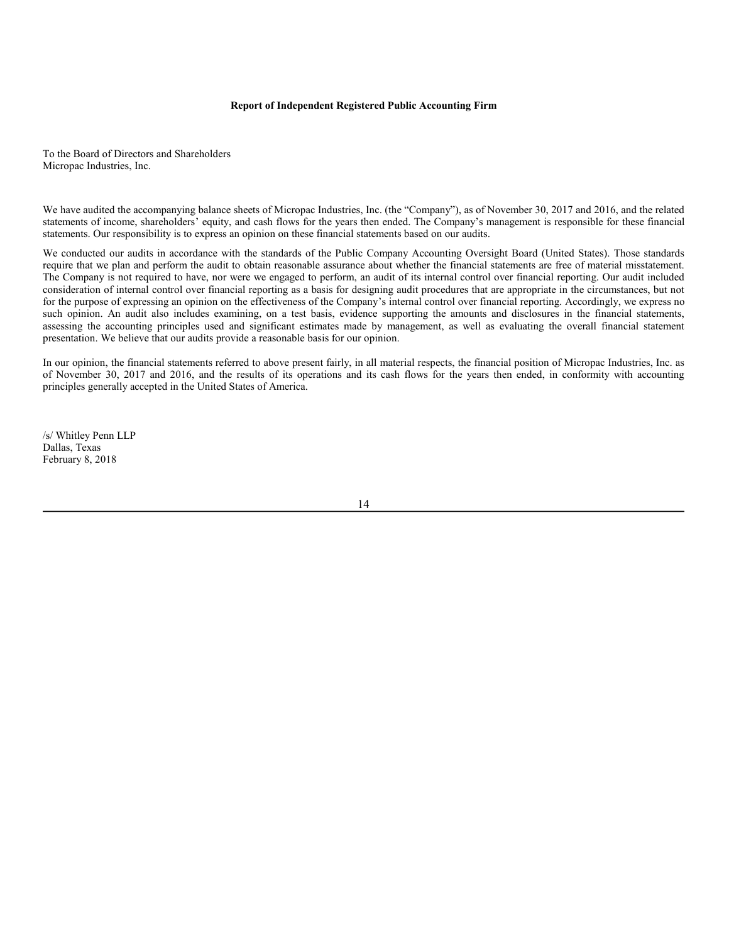#### **Report of Independent Registered Public Accounting Firm**

To the Board of Directors and Shareholders Micropac Industries, Inc.

We have audited the accompanying balance sheets of Micropac Industries, Inc. (the "Company"), as of November 30, 2017 and 2016, and the related statements of income, shareholders' equity, and cash flows for the years then ended. The Company's management is responsible for these financial statements. Our responsibility is to express an opinion on these financial statements based on our audits.

We conducted our audits in accordance with the standards of the Public Company Accounting Oversight Board (United States). Those standards require that we plan and perform the audit to obtain reasonable assurance about whether the financial statements are free of material misstatement. The Company is not required to have, nor were we engaged to perform, an audit of its internal control over financial reporting. Our audit included consideration of internal control over financial reporting as a basis for designing audit procedures that are appropriate in the circumstances, but not for the purpose of expressing an opinion on the effectiveness of the Company's internal control over financial reporting. Accordingly, we express no such opinion. An audit also includes examining, on a test basis, evidence supporting the amounts and disclosures in the financial statements, assessing the accounting principles used and significant estimates made by management, as well as evaluating the overall financial statement presentation. We believe that our audits provide a reasonable basis for our opinion.

In our opinion, the financial statements referred to above present fairly, in all material respects, the financial position of Micropac Industries, Inc. as of November 30, 2017 and 2016, and the results of its operations and its cash flows for the years then ended, in conformity with accounting principles generally accepted in the United States of America.

/s/ Whitley Penn LLP Dallas, Texas February 8, 2018

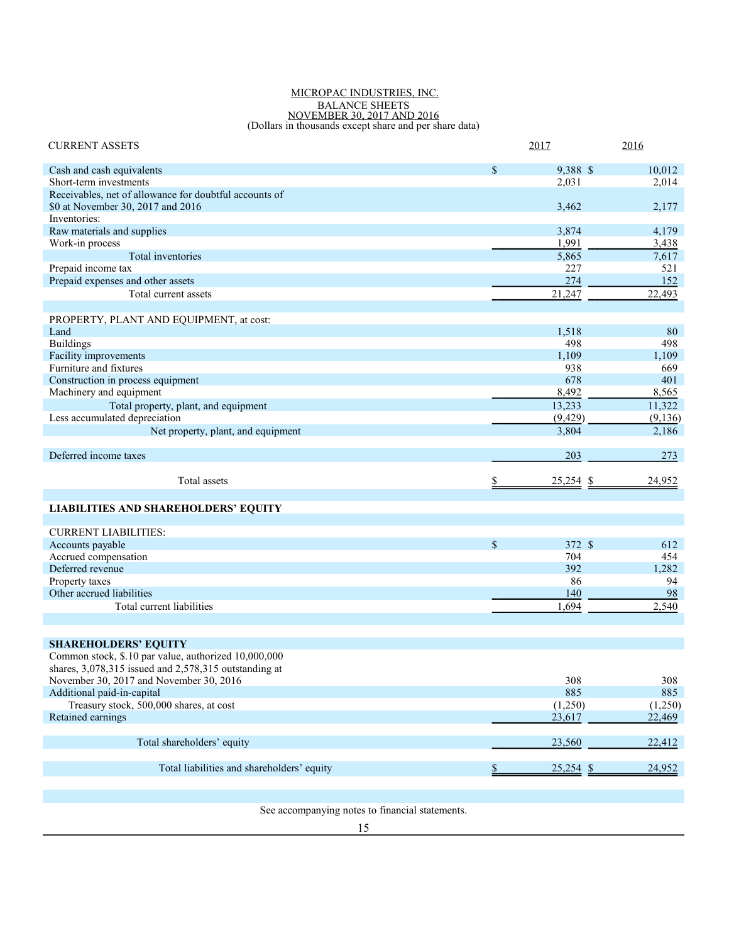#### MICROPAC INDUSTRIES, INC. BALANCE SHEETS NOVEMBER 30, 2017 AND 2016 (Dollars in thousands except share and per share data)

| <b>CURRENT ASSETS</b>                                                 | 2017 |             | 2016       |
|-----------------------------------------------------------------------|------|-------------|------------|
| Cash and cash equivalents                                             | \$   | 9,388 \$    | 10,012     |
| Short-term investments                                                |      | 2,031       | 2,014      |
| Receivables, net of allowance for doubtful accounts of                |      |             |            |
| \$0 at November 30, 2017 and 2016                                     |      | 3,462       | 2,177      |
| Inventories:                                                          |      |             |            |
| Raw materials and supplies                                            |      | 3,874       | 4,179      |
| Work-in process                                                       |      | 1,991       | 3,438      |
| Total inventories                                                     |      | 5,865       | 7,617      |
| Prepaid income tax                                                    |      | 227         | 521        |
| Prepaid expenses and other assets                                     |      | 274         | 152        |
| Total current assets                                                  |      | 21,247      | 22,493     |
| PROPERTY, PLANT AND EQUIPMENT, at cost:                               |      |             |            |
| Land                                                                  |      | 1,518       | 80         |
| <b>Buildings</b>                                                      |      | 498         | 498        |
| Facility improvements                                                 |      | 1,109       | 1,109      |
| Furniture and fixtures                                                |      | 938         | 669        |
| Construction in process equipment                                     |      | 678         | 401        |
| Machinery and equipment                                               |      | 8,492       | 8,565      |
| Total property, plant, and equipment                                  |      | 13,233      | 11,322     |
| Less accumulated depreciation                                         |      | (9, 429)    | (9,136)    |
| Net property, plant, and equipment                                    |      | 3,804       | 2,186      |
| Deferred income taxes                                                 |      | 203         | 273        |
|                                                                       |      |             |            |
|                                                                       |      |             |            |
| Total assets                                                          |      | $25,254$ \$ | 24,952     |
|                                                                       |      |             |            |
| <b>LIABILITIES AND SHAREHOLDERS' EQUITY</b>                           |      |             |            |
| <b>CURRENT LIABILITIES:</b>                                           |      |             |            |
| Accounts payable                                                      | \$   | 372 \$      | 612        |
| Accrued compensation                                                  |      | 704         | 454        |
| Deferred revenue                                                      |      | 392         | 1,282      |
| Property taxes                                                        |      | 86          | 94         |
| Other accrued liabilities                                             |      | 140         | 98         |
| Total current liabilities                                             |      | 1,694       | 2,540      |
|                                                                       |      |             |            |
|                                                                       |      |             |            |
| <b>SHAREHOLDERS' EQUITY</b>                                           |      |             |            |
| Common stock, \$.10 par value, authorized 10,000,000                  |      |             |            |
| shares, 3,078,315 issued and 2,578,315 outstanding at                 |      |             |            |
| November 30, 2017 and November 30, 2016<br>Additional paid-in-capital |      | 308<br>885  | 308<br>885 |
| Treasury stock, 500,000 shares, at cost                               |      | (1,250)     | (1,250)    |
| Retained earnings                                                     |      | 23,617      | 22,469     |
|                                                                       |      |             |            |
| Total shareholders' equity                                            |      | 23,560      | 22,412     |
|                                                                       |      |             |            |
| Total liabilities and shareholders' equity                            |      | $25,254$ \$ | 24,952     |

See accompanying notes to financial statements.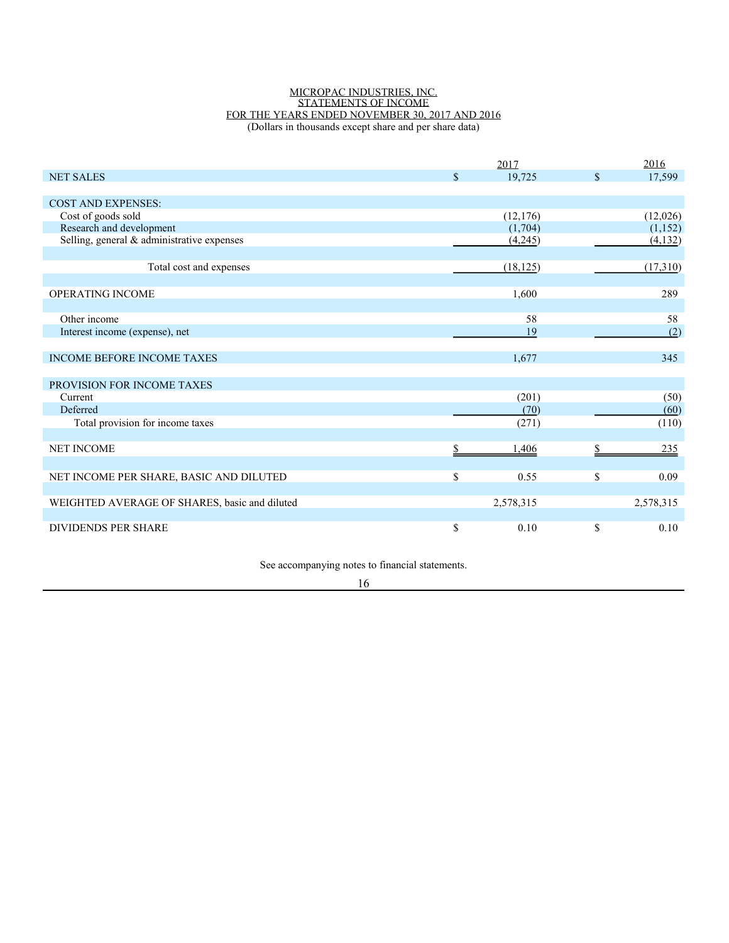#### MICROPAC INDUSTRIES, INC. STATEMENTS OF INCOME FOR THE YEARS ENDED NOVEMBER 30, 2017 AND 2016 (Dollars in thousands except share and per share data)

|                                               |              | 2017      |               | 2016      |
|-----------------------------------------------|--------------|-----------|---------------|-----------|
| <b>NET SALES</b>                              | $\mathbb{S}$ | 19.725    | $\mathbf{\$}$ | 17,599    |
|                                               |              |           |               |           |
| <b>COST AND EXPENSES:</b>                     |              |           |               |           |
| Cost of goods sold                            |              | (12, 176) |               | (12,026)  |
| Research and development                      |              | (1,704)   |               | (1,152)   |
| Selling, general & administrative expenses    |              | (4,245)   |               | (4, 132)  |
|                                               |              |           |               |           |
| Total cost and expenses                       |              | (18, 125) |               | (17,310)  |
|                                               |              |           |               |           |
| <b>OPERATING INCOME</b>                       |              | 1,600     |               | 289       |
|                                               |              |           |               |           |
| Other income                                  |              | 58        |               | 58        |
| Interest income (expense), net                |              | 19        |               | (2)       |
|                                               |              |           |               |           |
| <b>INCOME BEFORE INCOME TAXES</b>             |              | 1,677     |               | 345       |
|                                               |              |           |               |           |
| PROVISION FOR INCOME TAXES                    |              |           |               |           |
| Current                                       |              | (201)     |               | (50)      |
| Deferred                                      |              | (70)      |               | (60)      |
| Total provision for income taxes              |              | (271)     |               | (110)     |
|                                               |              |           |               |           |
| <b>NET INCOME</b>                             |              | 1,406     |               | 235       |
|                                               |              |           |               |           |
| NET INCOME PER SHARE, BASIC AND DILUTED       | \$           | 0.55      | \$            | 0.09      |
|                                               |              |           |               |           |
| WEIGHTED AVERAGE OF SHARES, basic and diluted |              | 2,578,315 |               | 2,578,315 |
|                                               |              |           |               |           |
| <b>DIVIDENDS PER SHARE</b>                    | \$           | 0.10      | \$            | 0.10      |

See accompanying notes to financial statements.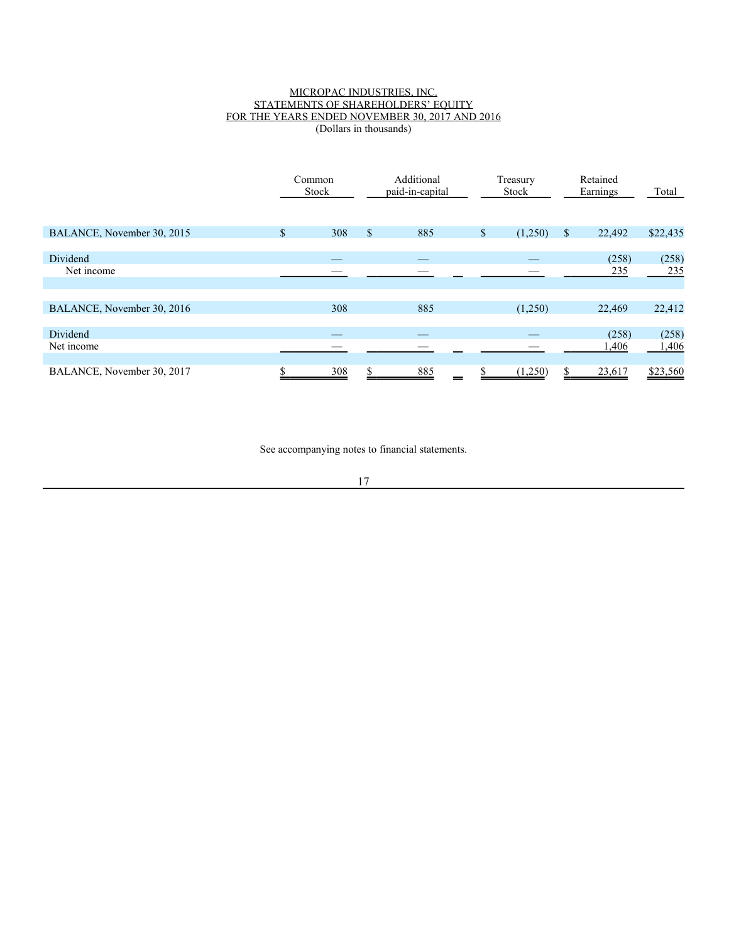### MICROPAC INDUSTRIES, INC. STATEMENTS OF SHAREHOLDERS' EQUITY FOR THE YEARS ENDED NOVEMBER 30, 2017 AND 2016 (Dollars in thousands)

|                            |              | Common<br>Stock |                           | Additional<br>paid-in-capital |             | Treasury<br>Stock |               |              |              |  |  | Retained<br>Earnings | Total |
|----------------------------|--------------|-----------------|---------------------------|-------------------------------|-------------|-------------------|---------------|--------------|--------------|--|--|----------------------|-------|
| BALANCE, November 30, 2015 | $\mathbb{S}$ | 308             | $\boldsymbol{\mathsf{S}}$ | 885                           | $\mathbb S$ | (1,250)           | <sup>\$</sup> | 22,492       | \$22,435     |  |  |                      |       |
| Dividend<br>Net income     |              |                 |                           | --                            |             |                   |               | (258)<br>235 | (258)<br>235 |  |  |                      |       |
|                            |              |                 |                           |                               |             |                   |               |              |              |  |  |                      |       |
| BALANCE, November 30, 2016 |              | 308             |                           | 885                           |             | (1,250)           |               | 22,469       | 22,412       |  |  |                      |       |
| <b>Dividend</b>            |              |                 |                           |                               |             |                   |               | (258)        | (258)        |  |  |                      |       |
| Net income                 |              |                 |                           |                               |             |                   |               | 1,406        | 1,406        |  |  |                      |       |
| BALANCE, November 30, 2017 |              | 308             |                           | 885                           |             | (1,250)           |               | 23,617       | \$23,560     |  |  |                      |       |

See accompanying notes to financial statements.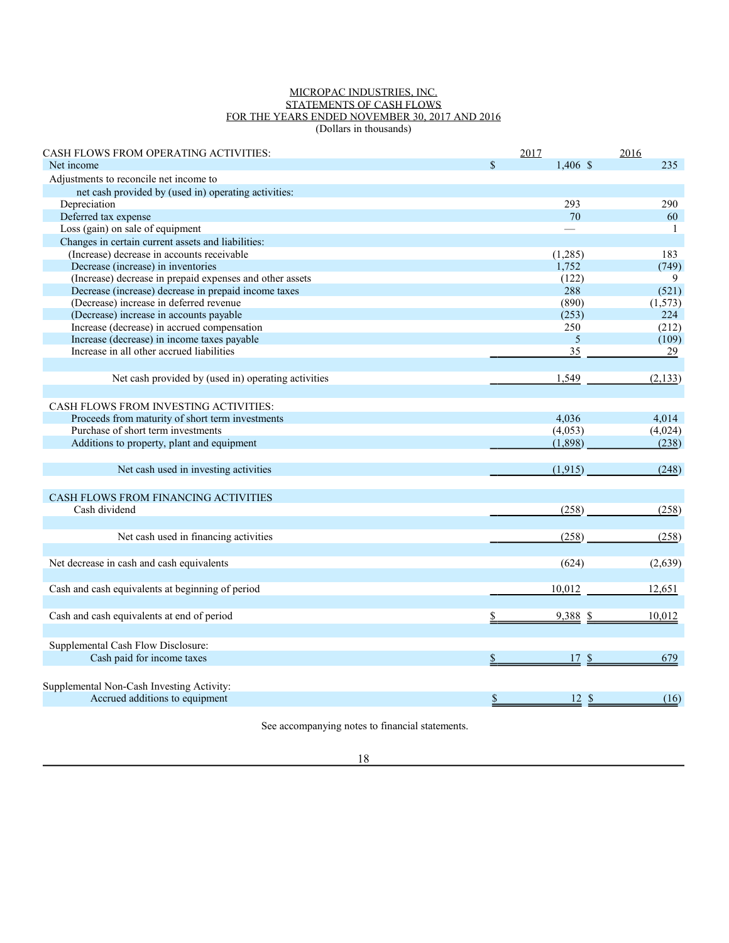### MICROPAC INDUSTRIES, INC. STATEMENTS OF CASH FLOWS FOR THE YEARS ENDED NOVEMBER 30, 2017 AND 2016 (Dollars in thousands)

| <b>CASH FLOWS FROM OPERATING ACTIVITIES:</b>             |               | 2017       | 2016          |
|----------------------------------------------------------|---------------|------------|---------------|
| Net income                                               | $\mathbf{\$}$ | $1,406$ \$ | 235           |
| Adjustments to reconcile net income to                   |               |            |               |
| net cash provided by (used in) operating activities:     |               |            |               |
| Depreciation                                             |               | 293        | 290           |
| Deferred tax expense                                     |               | 70         | 60            |
| Loss (gain) on sale of equipment                         |               |            | -1            |
| Changes in certain current assets and liabilities:       |               |            |               |
| (Increase) decrease in accounts receivable               |               | (1,285)    | 183           |
| Decrease (increase) in inventories                       |               | 1,752      | (749)         |
| (Increase) decrease in prepaid expenses and other assets |               | (122)      | 9             |
| Decrease (increase) decrease in prepaid income taxes     |               | 288        | (521)         |
| (Decrease) increase in deferred revenue                  |               | (890)      | (1, 573)      |
| (Decrease) increase in accounts payable                  |               | (253)      | 224           |
| Increase (decrease) in accrued compensation              |               | 250        | (212)         |
| Increase (decrease) in income taxes payable              |               | 5          | (109)         |
| Increase in all other accrued liabilities                |               | 35         | 29            |
|                                                          |               |            |               |
| Net cash provided by (used in) operating activities      |               | 1,549      | (2, 133)      |
|                                                          |               |            |               |
| <b>CASH FLOWS FROM INVESTING ACTIVITIES:</b>             |               |            |               |
| Proceeds from maturity of short term investments         |               | 4,036      | 4,014         |
| Purchase of short term investments                       |               | (4,053)    | (4,024)       |
| Additions to property, plant and equipment               |               | (1,898)    | (238)         |
|                                                          |               |            |               |
|                                                          |               |            |               |
| Net cash used in investing activities                    |               | (1, 915)   | (248)         |
|                                                          |               |            |               |
| CASH FLOWS FROM FINANCING ACTIVITIES                     |               |            |               |
| Cash dividend                                            |               | (258)      | (258)         |
|                                                          |               |            |               |
| Net cash used in financing activities                    |               | (258)      | (258)         |
|                                                          |               |            |               |
| Net decrease in cash and cash equivalents                |               | (624)      | (2,639)       |
|                                                          |               |            |               |
| Cash and cash equivalents at beginning of period         |               | 10,012     | 12,651        |
|                                                          |               |            |               |
| Cash and cash equivalents at end of period               |               | 9,388      | 10,012<br>-\$ |
|                                                          |               |            |               |
|                                                          |               |            |               |
| Supplemental Cash Flow Disclosure:                       |               |            |               |
| Cash paid for income taxes                               | \$            | 17S        | 679           |
|                                                          |               |            |               |
| Supplemental Non-Cash Investing Activity:                |               |            |               |
| Accrued additions to equipment                           | $\frac{1}{2}$ | 12S        | (16)          |

See accompanying notes to financial statements.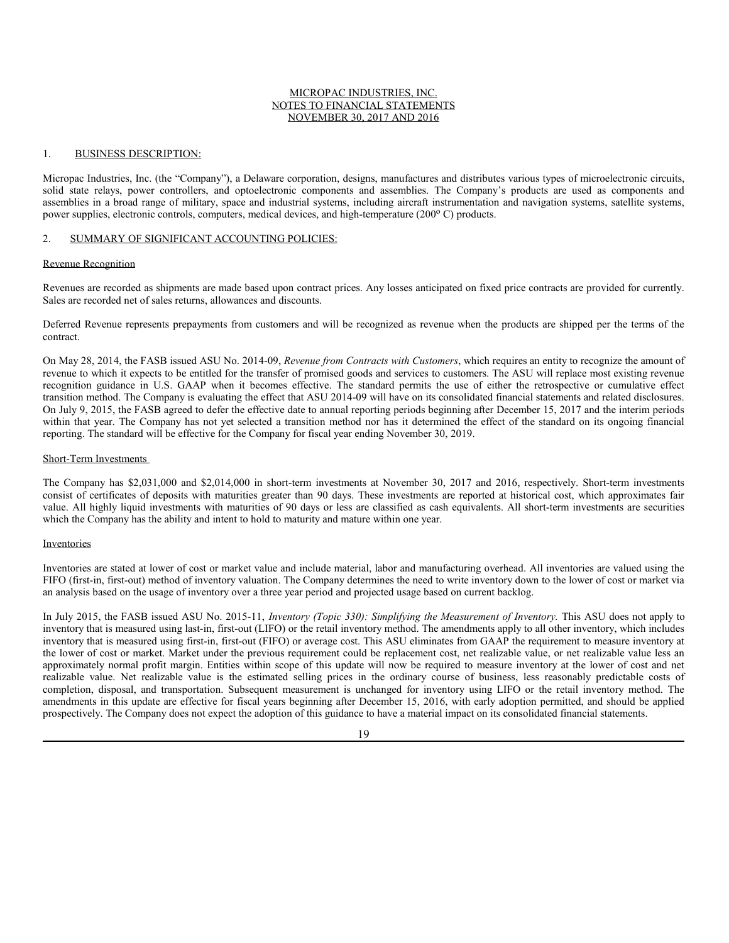### MICROPAC INDUSTRIES, INC. NOTES TO FINANCIAL STATEMENTS NOVEMBER 30, 2017 AND 2016

#### 1. BUSINESS DESCRIPTION:

Micropac Industries, Inc. (the "Company"), a Delaware corporation, designs, manufactures and distributes various types of microelectronic circuits, solid state relays, power controllers, and optoelectronic components and assemblies. The Company's products are used as components and assemblies in a broad range of military, space and industrial systems, including aircraft instrumentation and navigation systems, satellite systems, power supplies, electronic controls, computers, medical devices, and high-temperature (200°C) products.

#### 2. SUMMARY OF SIGNIFICANT ACCOUNTING POLICIES:

#### Revenue Recognition

Revenues are recorded as shipments are made based upon contract prices. Any losses anticipated on fixed price contracts are provided for currently. Sales are recorded net of sales returns, allowances and discounts.

Deferred Revenue represents prepayments from customers and will be recognized as revenue when the products are shipped per the terms of the contract.

On May 28, 2014, the FASB issued ASU No. 2014-09, *Revenue from Contracts with Customers*, which requires an entity to recognize the amount of revenue to which it expects to be entitled for the transfer of promised goods and services to customers. The ASU will replace most existing revenue recognition guidance in U.S. GAAP when it becomes effective. The standard permits the use of either the retrospective or cumulative effect transition method. The Company is evaluating the effect that ASU 2014-09 will have on its consolidated financial statements and related disclosures. On July 9, 2015, the FASB agreed to defer the effective date to annual reporting periods beginning after December 15, 2017 and the interim periods within that year. The Company has not yet selected a transition method nor has it determined the effect of the standard on its ongoing financial reporting. The standard will be effective for the Company for fiscal year ending November 30, 2019.

#### Short-Term Investments

The Company has \$2,031,000 and \$2,014,000 in short-term investments at November 30, 2017 and 2016, respectively. Short-term investments consist of certificates of deposits with maturities greater than 90 days. These investments are reported at historical cost, which approximates fair value. All highly liquid investments with maturities of 90 days or less are classified as cash equivalents. All short-term investments are securities which the Company has the ability and intent to hold to maturity and mature within one year.

#### Inventories

Inventories are stated at lower of cost or market value and include material, labor and manufacturing overhead. All inventories are valued using the FIFO (first-in, first-out) method of inventory valuation. The Company determines the need to write inventory down to the lower of cost or market via an analysis based on the usage of inventory over a three year period and projected usage based on current backlog.

In July 2015, the FASB issued ASU No. 2015-11, *Inventory (Topic 330): Simplifying the Measurement of Inventory.* This ASU does not apply to inventory that is measured using last-in, first-out (LIFO) or the retail inventory method. The amendments apply to all other inventory, which includes inventory that is measured using first-in, first-out (FIFO) or average cost. This ASU eliminates from GAAP the requirement to measure inventory at the lower of cost or market. Market under the previous requirement could be replacement cost, net realizable value, or net realizable value less an approximately normal profit margin. Entities within scope of this update will now be required to measure inventory at the lower of cost and net realizable value. Net realizable value is the estimated selling prices in the ordinary course of business, less reasonably predictable costs of completion, disposal, and transportation. Subsequent measurement is unchanged for inventory using LIFO or the retail inventory method. The amendments in this update are effective for fiscal years beginning after December 15, 2016, with early adoption permitted, and should be applied prospectively. The Company does not expect the adoption of this guidance to have a material impact on its consolidated financial statements.

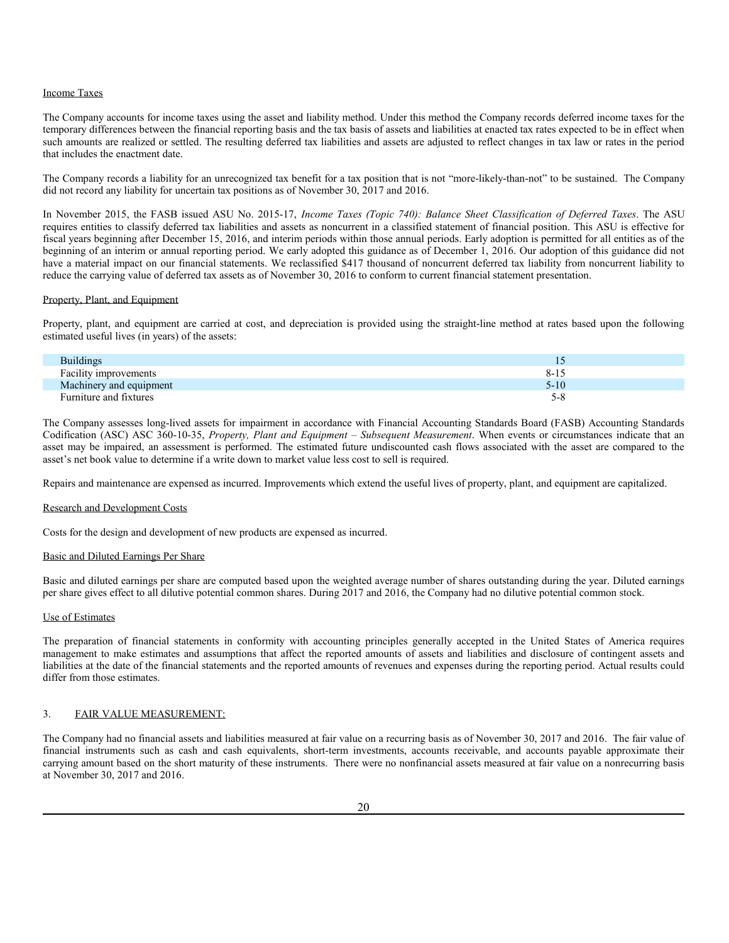#### Income Taxes

The Company accounts for income taxes using the asset and liability method. Under this method the Company records deferred income taxes for the temporary differences between the financial reporting basis and the tax basis of assets and liabilities at enacted tax rates expected to be in effect when such amounts are realized or settled. The resulting deferred tax liabilities and assets are adjusted to reflect changes in tax law or rates in the period that includes the enactment date.

The Company records a liability for an unrecognized tax benefit for a tax position that is not "more-likely-than-not" to be sustained. The Company did not record any liability for uncertain tax positions as of November 30, 2017 and 2016.

In November 2015, the FASB issued ASU No. 2015-17, *Income Taxes (Topic 740): Balance Sheet Classification of Deferred Taxes*. The ASU requires entities to classify deferred tax liabilities and assets as noncurrent in a classified statement of financial position. This ASU is effective for fiscal years beginning after December 15, 2016, and interim periods within those annual periods. Early adoption is permitted for all entities as of the beginning of an interim or annual reporting period. We early adopted this guidance as of December 1, 2016. Our adoption of this guidance did not have a material impact on our financial statements. We reclassified \$417 thousand of noncurrent deferred tax liability from noncurrent liability to reduce the carrying value of deferred tax assets as of November 30, 2016 to conform to current financial statement presentation.

### Property, Plant, and Equipment

Property, plant, and equipment are carried at cost, and depreciation is provided using the straight-line method at rates based upon the following estimated useful lives (in years) of the assets:

| <b>Buildings</b>        |      |
|-------------------------|------|
| Facility improvements   | 8-15 |
| Machinery and equipment | 5-10 |
| Furniture and fixtures  | 5-8  |

The Company assesses long-lived assets for impairment in accordance with Financial Accounting Standards Board (FASB) Accounting Standards Codification (ASC) ASC 360-10-35, *Property, Plant and Equipment – Subsequent Measurement*. When events or circumstances indicate that an asset may be impaired, an assessment is performed. The estimated future undiscounted cash flows associated with the asset are compared to the asset's net book value to determine if a write down to market value less cost to sell is required.

Repairs and maintenance are expensed as incurred. Improvements which extend the useful lives of property, plant, and equipment are capitalized.

#### Research and Development Costs

Costs for the design and development of new products are expensed as incurred.

### Basic and Diluted Earnings Per Share

Basic and diluted earnings per share are computed based upon the weighted average number of shares outstanding during the year. Diluted earnings per share gives effect to all dilutive potential common shares. During 2017 and 2016, the Company had no dilutive potential common stock.

#### Use of Estimates

The preparation of financial statements in conformity with accounting principles generally accepted in the United States of America requires management to make estimates and assumptions that affect the reported amounts of assets and liabilities and disclosure of contingent assets and liabilities at the date of the financial statements and the reported amounts of revenues and expenses during the reporting period. Actual results could differ from those estimates.

#### 3. FAIR VALUE MEASUREMENT:

The Company had no financial assets and liabilities measured at fair value on a recurring basis as of November 30, 2017 and 2016. The fair value of financial instruments such as cash and cash equivalents, short-term investments, accounts receivable, and accounts payable approximate their carrying amount based on the short maturity of these instruments. There were no nonfinancial assets measured at fair value on a nonrecurring basis at November 30, 2017 and 2016.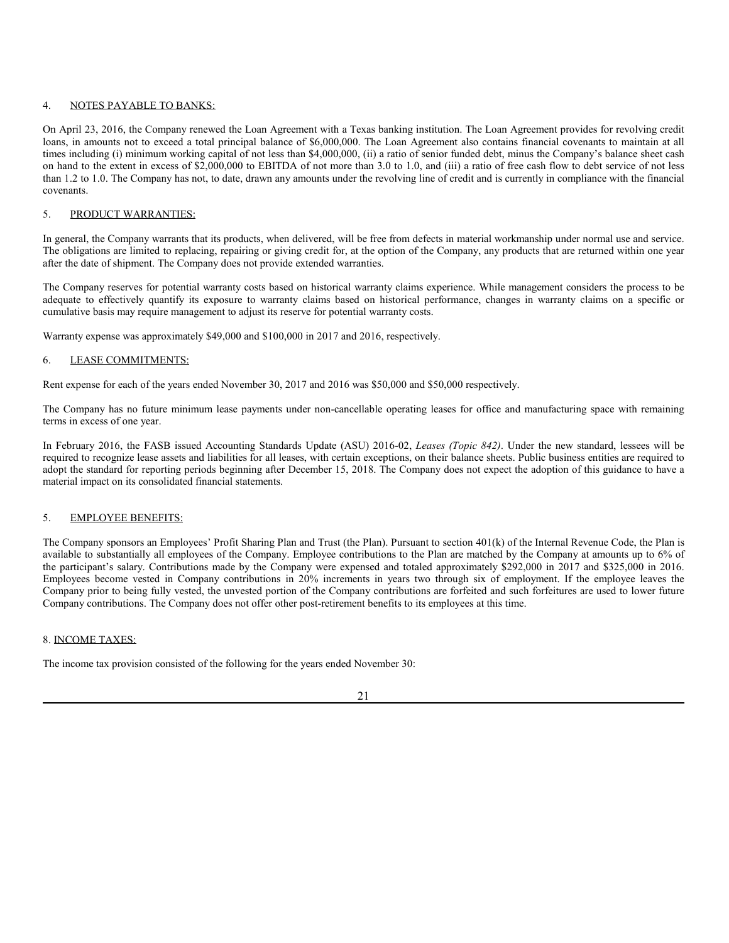### 4. NOTES PAYABLE TO BANKS:

On April 23, 2016, the Company renewed the Loan Agreement with a Texas banking institution. The Loan Agreement provides for revolving credit loans, in amounts not to exceed a total principal balance of \$6,000,000. The Loan Agreement also contains financial covenants to maintain at all times including (i) minimum working capital of not less than \$4,000,000, (ii) a ratio of senior funded debt, minus the Company's balance sheet cash on hand to the extent in excess of \$2,000,000 to EBITDA of not more than 3.0 to 1.0, and (iii) a ratio of free cash flow to debt service of not less than 1.2 to 1.0. The Company has not, to date, drawn any amounts under the revolving line of credit and is currently in compliance with the financial covenants.

### 5. PRODUCT WARRANTIES:

In general, the Company warrants that its products, when delivered, will be free from defects in material workmanship under normal use and service. The obligations are limited to replacing, repairing or giving credit for, at the option of the Company, any products that are returned within one year after the date of shipment. The Company does not provide extended warranties.

The Company reserves for potential warranty costs based on historical warranty claims experience. While management considers the process to be adequate to effectively quantify its exposure to warranty claims based on historical performance, changes in warranty claims on a specific or cumulative basis may require management to adjust its reserve for potential warranty costs.

Warranty expense was approximately \$49,000 and \$100,000 in 2017 and 2016, respectively.

### 6. LEASE COMMITMENTS:

Rent expense for each of the years ended November 30, 2017 and 2016 was \$50,000 and \$50,000 respectively.

The Company has no future minimum lease payments under non-cancellable operating leases for office and manufacturing space with remaining terms in excess of one year.

In February 2016, the FASB issued Accounting Standards Update (ASU) 2016-02, *Leases (Topic 842)*. Under the new standard, lessees will be required to recognize lease assets and liabilities for all leases, with certain exceptions, on their balance sheets. Public business entities are required to adopt the standard for reporting periods beginning after December 15, 2018. The Company does not expect the adoption of this guidance to have a material impact on its consolidated financial statements.

### 5. EMPLOYEE BENEFITS:

The Company sponsors an Employees' Profit Sharing Plan and Trust (the Plan). Pursuant to section 401(k) of the Internal Revenue Code, the Plan is available to substantially all employees of the Company. Employee contributions to the Plan are matched by the Company at amounts up to 6% of the participant's salary. Contributions made by the Company were expensed and totaled approximately \$292,000 in 2017 and \$325,000 in 2016. Employees become vested in Company contributions in 20% increments in years two through six of employment. If the employee leaves the Company prior to being fully vested, the unvested portion of the Company contributions are forfeited and such forfeitures are used to lower future Company contributions. The Company does not offer other post-retirement benefits to its employees at this time.

### 8. INCOME TAXES:

The income tax provision consisted of the following for the years ended November 30: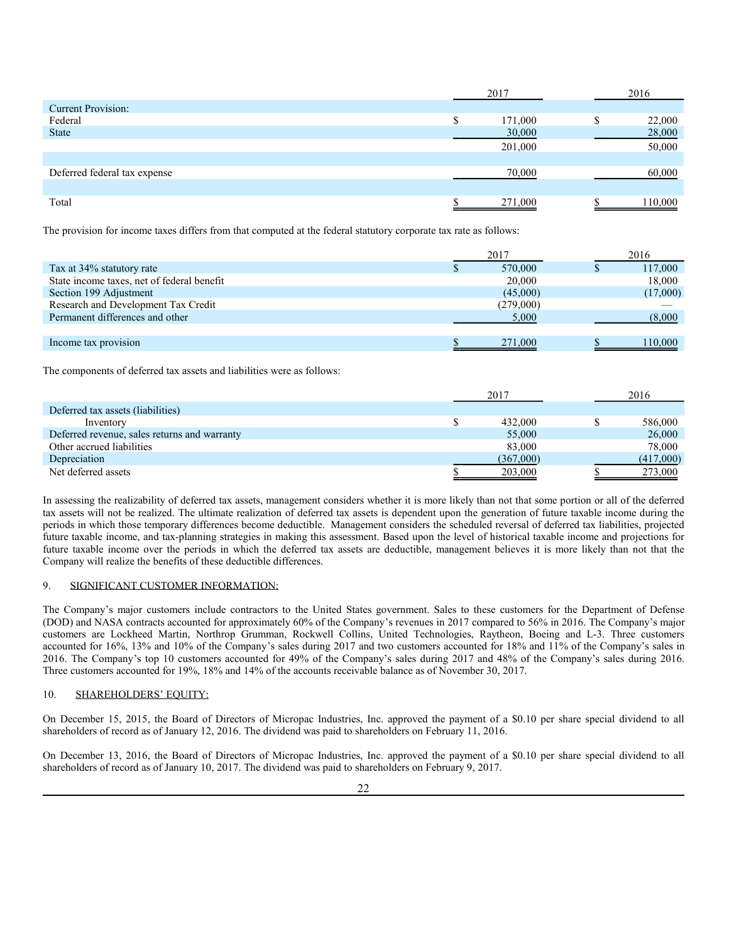|                              |   | 2017    | 2016 |         |  |
|------------------------------|---|---------|------|---------|--|
| <b>Current Provision:</b>    |   |         |      |         |  |
| Federal                      | S | 171,000 |      | 22,000  |  |
| <b>State</b>                 |   | 30,000  |      | 28,000  |  |
|                              |   | 201,000 |      | 50,000  |  |
|                              |   |         |      |         |  |
| Deferred federal tax expense |   | 70,000  |      | 60,000  |  |
|                              |   |         |      |         |  |
| Total                        |   | 271,000 |      | 110,000 |  |

The provision for income taxes differs from that computed at the federal statutory corporate tax rate as follows:

|                                            | 2017      |  | 2016     |  |
|--------------------------------------------|-----------|--|----------|--|
| Tax at 34% statutory rate                  | 570,000   |  | 117,000  |  |
| State income taxes, net of federal benefit | 20,000    |  | 18,000   |  |
| Section 199 Adjustment                     | (45,000)  |  | (17,000) |  |
| Research and Development Tax Credit        | (279,000) |  |          |  |
| Permanent differences and other            | 5,000     |  | (8,000)  |  |
|                                            |           |  |          |  |
| Income tax provision                       | 271,000   |  | 110.000  |  |

The components of deferred tax assets and liabilities were as follows:

|                                              | 2017      |  | 2016      |  |
|----------------------------------------------|-----------|--|-----------|--|
| Deferred tax assets (liabilities)            |           |  |           |  |
| Inventory                                    | 432,000   |  | 586,000   |  |
| Deferred revenue, sales returns and warranty | 55,000    |  | 26,000    |  |
| Other accrued liabilities                    | 83,000    |  | 78,000    |  |
| Depreciation                                 | (367,000) |  | (417,000) |  |
| Net deferred assets                          | 203,000   |  | 273,000   |  |

In assessing the realizability of deferred tax assets, management considers whether it is more likely than not that some portion or all of the deferred tax assets will not be realized. The ultimate realization of deferred tax assets is dependent upon the generation of future taxable income during the periods in which those temporary differences become deductible. Management considers the scheduled reversal of deferred tax liabilities, projected future taxable income, and tax-planning strategies in making this assessment. Based upon the level of historical taxable income and projections for future taxable income over the periods in which the deferred tax assets are deductible, management believes it is more likely than not that the Company will realize the benefits of these deductible differences.

### 9. SIGNIFICANT CUSTOMER INFORMATION:

The Company's major customers include contractors to the United States government. Sales to these customers for the Department of Defense (DOD) and NASA contracts accounted for approximately 60% of the Company's revenues in 2017 compared to 56% in 2016. The Company's major customers are Lockheed Martin, Northrop Grumman, Rockwell Collins, United Technologies, Raytheon, Boeing and L-3. Three customers accounted for 16%, 13% and 10% of the Company's sales during 2017 and two customers accounted for 18% and 11% of the Company's sales in 2016. The Company's top 10 customers accounted for 49% of the Company's sales during 2017 and 48% of the Company's sales during 2016. Three customers accounted for 19%, 18% and 14% of the accounts receivable balance as of November 30, 2017.

### 10. SHAREHOLDERS' EQUITY:

On December 15, 2015, the Board of Directors of Micropac Industries, Inc. approved the payment of a \$0.10 per share special dividend to all shareholders of record as of January 12, 2016. The dividend was paid to shareholders on February 11, 2016.

On December 13, 2016, the Board of Directors of Micropac Industries, Inc. approved the payment of a \$0.10 per share special dividend to all shareholders of record as of January 10, 2017. The dividend was paid to shareholders on February 9, 2017.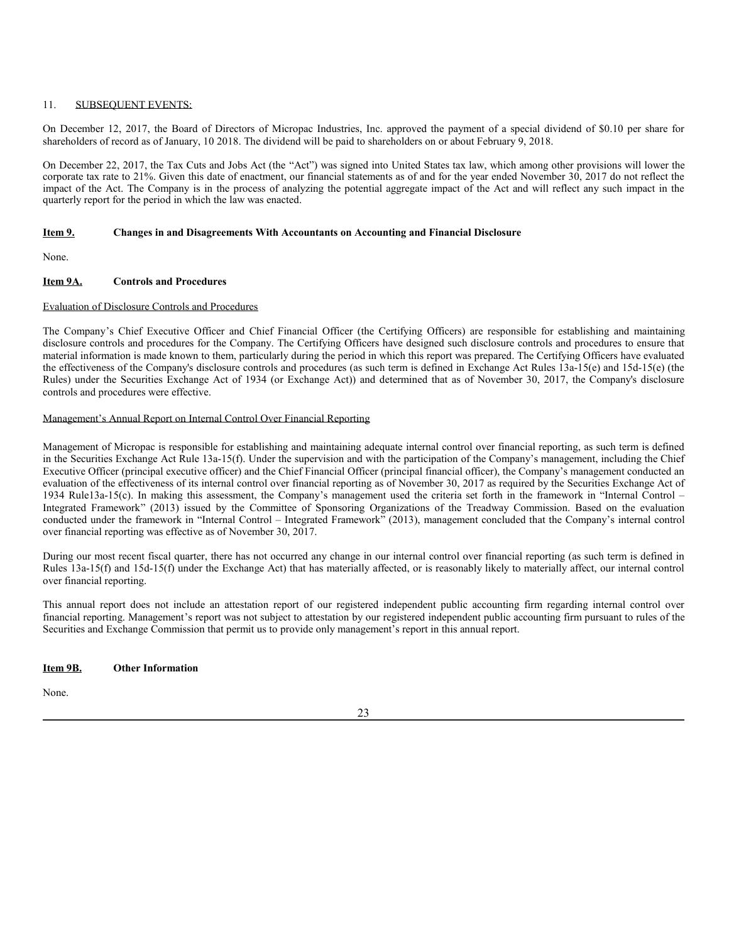### 11. SUBSEQUENT EVENTS:

On December 12, 2017, the Board of Directors of Micropac Industries, Inc. approved the payment of a special dividend of \$0.10 per share for shareholders of record as of January, 10 2018. The dividend will be paid to shareholders on or about February 9, 2018.

On December 22, 2017, the Tax Cuts and Jobs Act (the "Act") was signed into United States tax law, which among other provisions will lower the corporate tax rate to 21%. Given this date of enactment, our financial statements as of and for the year ended November 30, 2017 do not reflect the impact of the Act. The Company is in the process of analyzing the potential aggregate impact of the Act and will reflect any such impact in the quarterly report for the period in which the law was enacted.

#### **Item 9. Changes in and Disagreements With Accountants on Accounting and Financial Disclosure**

None.

### **Item 9A. Controls and Procedures**

### Evaluation of Disclosure Controls and Procedures

The Company's Chief Executive Officer and Chief Financial Officer (the Certifying Officers) are responsible for establishing and maintaining disclosure controls and procedures for the Company. The Certifying Officers have designed such disclosure controls and procedures to ensure that material information is made known to them, particularly during the period in which this report was prepared. The Certifying Officers have evaluated the effectiveness of the Company's disclosure controls and procedures (as such term is defined in Exchange Act Rules 13a-15(e) and 15d-15(e) (the Rules) under the Securities Exchange Act of 1934 (or Exchange Act)) and determined that as of November 30, 2017, the Company's disclosure controls and procedures were effective.

#### Management's Annual Report on Internal Control Over Financial Reporting

Management of Micropac is responsible for establishing and maintaining adequate internal control over financial reporting, as such term is defined in the Securities Exchange Act Rule 13a-15(f). Under the supervision and with the participation of the Company's management, including the Chief Executive Officer (principal executive officer) and the Chief Financial Officer (principal financial officer), the Company's management conducted an evaluation of the effectiveness of its internal control over financial reporting as of November 30, 2017 as required by the Securities Exchange Act of 1934 Rule13a-15(c). In making this assessment, the Company's management used the criteria set forth in the framework in "Internal Control – Integrated Framework" (2013) issued by the Committee of Sponsoring Organizations of the Treadway Commission. Based on the evaluation conducted under the framework in "Internal Control – Integrated Framework" (2013), management concluded that the Company's internal control over financial reporting was effective as of November 30, 2017.

During our most recent fiscal quarter, there has not occurred any change in our internal control over financial reporting (as such term is defined in Rules 13a-15(f) and 15d-15(f) under the Exchange Act) that has materially affected, or is reasonably likely to materially affect, our internal control over financial reporting.

This annual report does not include an attestation report of our registered independent public accounting firm regarding internal control over financial reporting. Management's report was not subject to attestation by our registered independent public accounting firm pursuant to rules of the Securities and Exchange Commission that permit us to provide only management's report in this annual report.

### **Item 9B. Other Information**

None.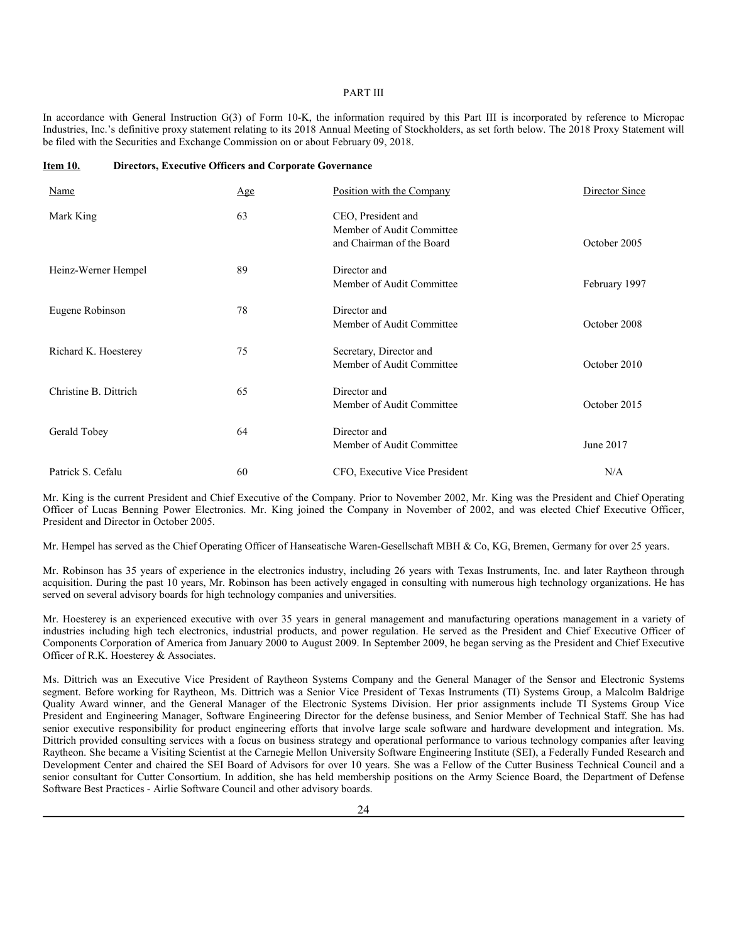### PART III

In accordance with General Instruction G(3) of Form 10-K, the information required by this Part III is incorporated by reference to Micropac Industries, Inc.'s definitive proxy statement relating to its 2018 Annual Meeting of Stockholders, as set forth below. The 2018 Proxy Statement will be filed with the Securities and Exchange Commission on or about February 09, 2018.

#### **Item 10. Directors, Executive Officers and Corporate Governance**

| Name                  | Age | Position with the Company                                                    | Director Since |
|-----------------------|-----|------------------------------------------------------------------------------|----------------|
| Mark King             | 63  | CEO, President and<br>Member of Audit Committee<br>and Chairman of the Board | October 2005   |
| Heinz-Werner Hempel   | 89  | Director and<br>Member of Audit Committee                                    | February 1997  |
| Eugene Robinson       | 78  | Director and<br>Member of Audit Committee                                    | October 2008   |
| Richard K. Hoesterey  | 75  | Secretary, Director and<br>Member of Audit Committee                         | October 2010   |
| Christine B. Dittrich | 65  | Director and<br>Member of Audit Committee                                    | October 2015   |
| Gerald Tobey          | 64  | Director and<br>Member of Audit Committee                                    | June 2017      |
| Patrick S. Cefalu     | 60  | CFO, Executive Vice President                                                | N/A            |

Mr. King is the current President and Chief Executive of the Company. Prior to November 2002, Mr. King was the President and Chief Operating Officer of Lucas Benning Power Electronics. Mr. King joined the Company in November of 2002, and was elected Chief Executive Officer, President and Director in October 2005.

Mr. Hempel has served as the Chief Operating Officer of Hanseatische Waren-Gesellschaft MBH & Co, KG, Bremen, Germany for over 25 years.

Mr. Robinson has 35 years of experience in the electronics industry, including 26 years with Texas Instruments, Inc. and later Raytheon through acquisition. During the past 10 years, Mr. Robinson has been actively engaged in consulting with numerous high technology organizations. He has served on several advisory boards for high technology companies and universities.

Mr. Hoesterey is an experienced executive with over 35 years in general management and manufacturing operations management in a variety of industries including high tech electronics, industrial products, and power regulation. He served as the President and Chief Executive Officer of Components Corporation of America from January 2000 to August 2009. In September 2009, he began serving as the President and Chief Executive Officer of R.K. Hoesterey & Associates.

Ms. Dittrich was an Executive Vice President of Raytheon Systems Company and the General Manager of the Sensor and Electronic Systems segment. Before working for Raytheon, Ms. Dittrich was a Senior Vice President of Texas Instruments (TI) Systems Group, a Malcolm Baldrige Quality Award winner, and the General Manager of the Electronic Systems Division. Her prior assignments include TI Systems Group Vice President and Engineering Manager, Software Engineering Director for the defense business, and Senior Member of Technical Staff. She has had senior executive responsibility for product engineering efforts that involve large scale software and hardware development and integration. Ms. Dittrich provided consulting services with a focus on business strategy and operational performance to various technology companies after leaving Raytheon. She became a Visiting Scientist at the Carnegie Mellon University Software Engineering Institute (SEI), a Federally Funded Research and Development Center and chaired the SEI Board of Advisors for over 10 years. She was a Fellow of the Cutter Business Technical Council and a senior consultant for Cutter Consortium. In addition, she has held membership positions on the Army Science Board, the Department of Defense Software Best Practices - Airlie Software Council and other advisory boards.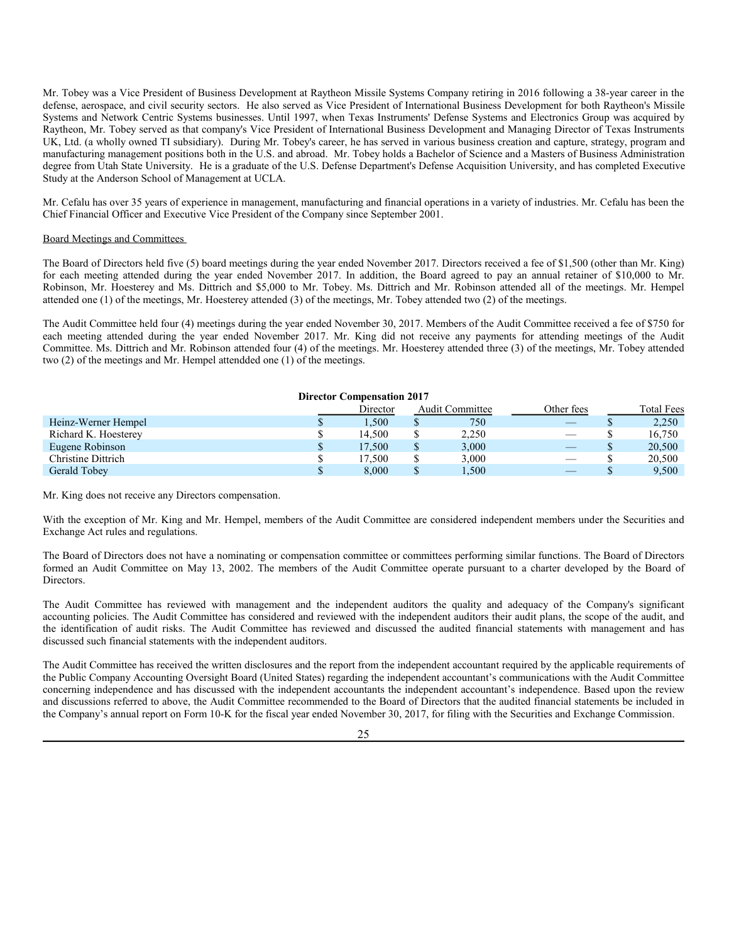Mr. Tobey was a Vice President of Business Development at Raytheon Missile Systems Company retiring in 2016 following a 38-year career in the defense, aerospace, and civil security sectors. He also served as Vice President of International Business Development for both Raytheon's Missile Systems and Network Centric Systems businesses. Until 1997, when Texas Instruments' Defense Systems and Electronics Group was acquired by Raytheon, Mr. Tobey served as that company's Vice President of International Business Development and Managing Director of Texas Instruments UK, Ltd. (a wholly owned TI subsidiary). During Mr. Tobey's career, he has served in various business creation and capture, strategy, program and manufacturing management positions both in the U.S. and abroad. Mr. Tobey holds a Bachelor of Science and a Masters of Business Administration degree from Utah State University. He is a graduate of the U.S. Defense Department's Defense Acquisition University, and has completed Executive Study at the Anderson School of Management at UCLA.

Mr. Cefalu has over 35 years of experience in management, manufacturing and financial operations in a variety of industries. Mr. Cefalu has been the Chief Financial Officer and Executive Vice President of the Company since September 2001.

#### Board Meetings and Committees

The Board of Directors held five (5) board meetings during the year ended November 2017. Directors received a fee of \$1,500 (other than Mr. King) for each meeting attended during the year ended November 2017. In addition, the Board agreed to pay an annual retainer of \$10,000 to Mr. Robinson, Mr. Hoesterey and Ms. Dittrich and \$5,000 to Mr. Tobey. Ms. Dittrich and Mr. Robinson attended all of the meetings. Mr. Hempel attended one (1) of the meetings, Mr. Hoesterey attended (3) of the meetings, Mr. Tobey attended two (2) of the meetings.

The Audit Committee held four (4) meetings during the year ended November 30, 2017. Members of the Audit Committee received a fee of \$750 for each meeting attended during the year ended November 2017. Mr. King did not receive any payments for attending meetings of the Audit Committee. Ms. Dittrich and Mr. Robinson attended four (4) of the meetings. Mr. Hoesterey attended three (3) of the meetings, Mr. Tobey attended two (2) of the meetings and Mr. Hempel attendded one (1) of the meetings.

#### **Director Compensation 2017**

|                      |              | Director | Audit Committee | Other fees                     | <b>Total Fees</b> |
|----------------------|--------------|----------|-----------------|--------------------------------|-------------------|
| Heinz-Werner Hempel  |              | 1,500    | 750             |                                | 2,250             |
| Richard K. Hoesterey |              | 14.500   | 2,250           |                                | 16,750            |
| Eugene Robinson      | $\mathbb{S}$ | 17.500   | 3,000           |                                | 20,500            |
| Christine Dittrich   |              | 17.500   | 3.000           | $\qquad \qquad \longleftarrow$ | 20,500            |
| Gerald Tobey         |              | 8.000    | 1,500           |                                | 9.500             |

Mr. King does not receive any Directors compensation.

With the exception of Mr. King and Mr. Hempel, members of the Audit Committee are considered independent members under the Securities and Exchange Act rules and regulations.

The Board of Directors does not have a nominating or compensation committee or committees performing similar functions. The Board of Directors formed an Audit Committee on May 13, 2002. The members of the Audit Committee operate pursuant to a charter developed by the Board of Directors.

The Audit Committee has reviewed with management and the independent auditors the quality and adequacy of the Company's significant accounting policies. The Audit Committee has considered and reviewed with the independent auditors their audit plans, the scope of the audit, and the identification of audit risks. The Audit Committee has reviewed and discussed the audited financial statements with management and has discussed such financial statements with the independent auditors.

The Audit Committee has received the written disclosures and the report from the independent accountant required by the applicable requirements of the Public Company Accounting Oversight Board (United States) regarding the independent accountant's communications with the Audit Committee concerning independence and has discussed with the independent accountants the independent accountant's independence. Based upon the review and discussions referred to above, the Audit Committee recommended to the Board of Directors that the audited financial statements be included in the Company's annual report on Form 10-K for the fiscal year ended November 30, 2017, for filing with the Securities and Exchange Commission.

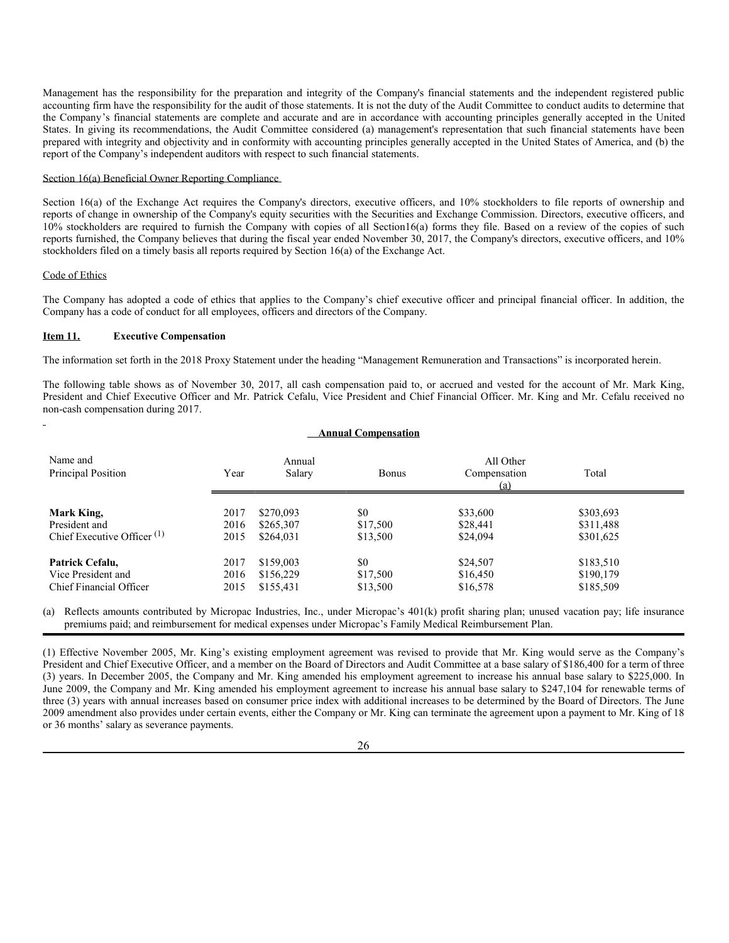Management has the responsibility for the preparation and integrity of the Company's financial statements and the independent registered public accounting firm have the responsibility for the audit of those statements. It is not the duty of the Audit Committee to conduct audits to determine that the Company's financial statements are complete and accurate and are in accordance with accounting principles generally accepted in the United States. In giving its recommendations, the Audit Committee considered (a) management's representation that such financial statements have been prepared with integrity and objectivity and in conformity with accounting principles generally accepted in the United States of America, and (b) the report of the Company's independent auditors with respect to such financial statements.

### Section 16(a) Beneficial Owner Reporting Compliance

Section 16(a) of the Exchange Act requires the Company's directors, executive officers, and 10% stockholders to file reports of ownership and reports of change in ownership of the Company's equity securities with the Securities and Exchange Commission. Directors, executive officers, and 10% stockholders are required to furnish the Company with copies of all Section16(a) forms they file. Based on a review of the copies of such reports furnished, the Company believes that during the fiscal year ended November 30, 2017, the Company's directors, executive officers, and 10% stockholders filed on a timely basis all reports required by Section 16(a) of the Exchange Act.

#### Code of Ethics

The Company has adopted a code of ethics that applies to the Company's chief executive officer and principal financial officer. In addition, the Company has a code of conduct for all employees, officers and directors of the Company.

### **Item 11. Executive Compensation**

The information set forth in the 2018 Proxy Statement under the heading "Management Remuneration and Transactions" is incorporated herein.

The following table shows as of November 30, 2017, all cash compensation paid to, or accrued and vested for the account of Mr. Mark King, President and Chief Executive Officer and Mr. Patrick Cefalu, Vice President and Chief Financial Officer. Mr. King and Mr. Cefalu received no non-cash compensation during 2017.

| <b>Annual Compensation</b>             |      |                  |              |                                  |           |  |
|----------------------------------------|------|------------------|--------------|----------------------------------|-----------|--|
| Name and<br>Principal Position         | Year | Annual<br>Salary | <b>Bonus</b> | All Other<br>Compensation<br>(a) | Total     |  |
| Mark King,                             | 2017 | \$270,093        | \$0          | \$33,600                         | \$303,693 |  |
| President and                          | 2016 | \$265,307        | \$17,500     | \$28,441                         | \$311,488 |  |
| Chief Executive Officer <sup>(1)</sup> | 2015 | \$264,031        | \$13,500     | \$24,094                         | \$301,625 |  |
| Patrick Cefalu,                        | 2017 | \$159,003        | \$0          | \$24,507                         | \$183,510 |  |
| Vice President and                     | 2016 | \$156,229        | \$17,500     | \$16,450                         | \$190,179 |  |
| Chief Financial Officer                | 2015 | \$155,431        | \$13,500     | \$16,578                         | \$185,509 |  |

(a) Reflects amounts contributed by Micropac Industries, Inc., under Micropac's 401(k) profit sharing plan; unused vacation pay; life insurance premiums paid; and reimbursement for medical expenses under Micropac's Family Medical Reimbursement Plan.

(1) Effective November 2005, Mr. King's existing employment agreement was revised to provide that Mr. King would serve as the Company's President and Chief Executive Officer, and a member on the Board of Directors and Audit Committee at a base salary of \$186,400 for a term of three (3) years. In December 2005, the Company and Mr. King amended his employment agreement to increase his annual base salary to \$225,000. In June 2009, the Company and Mr. King amended his employment agreement to increase his annual base salary to \$247,104 for renewable terms of three (3) years with annual increases based on consumer price index with additional increases to be determined by the Board of Directors. The June 2009 amendment also provides under certain events, either the Company or Mr. King can terminate the agreement upon a payment to Mr. King of 18 or 36 months' salary as severance payments.

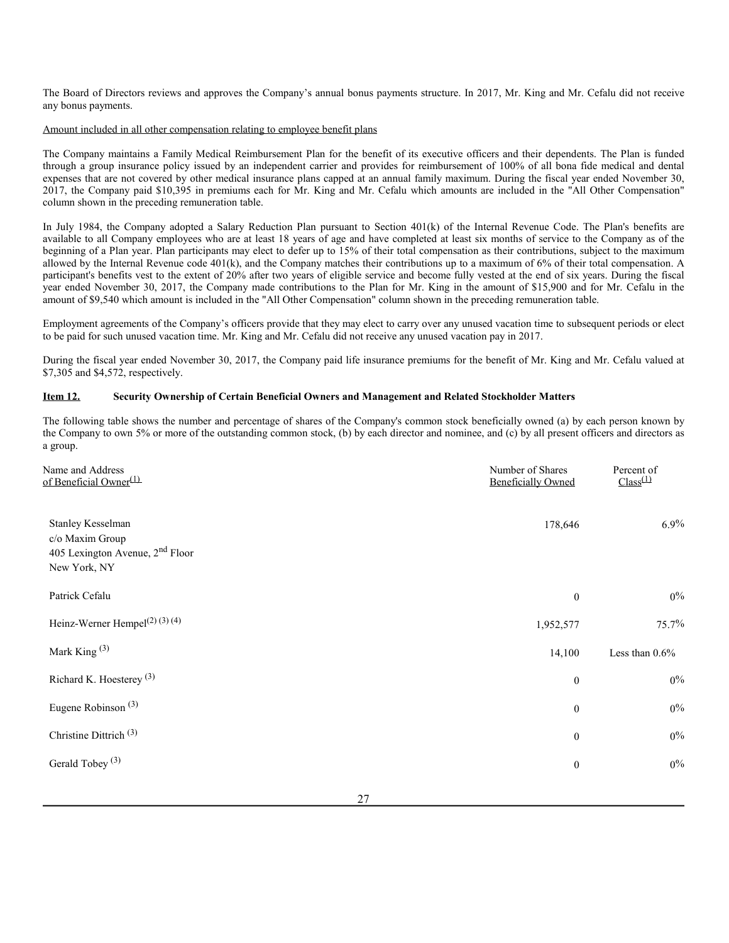The Board of Directors reviews and approves the Company's annual bonus payments structure. In 2017, Mr. King and Mr. Cefalu did not receive any bonus payments.

### Amount included in all other compensation relating to employee benefit plans

The Company maintains a Family Medical Reimbursement Plan for the benefit of its executive officers and their dependents. The Plan is funded through a group insurance policy issued by an independent carrier and provides for reimbursement of 100% of all bona fide medical and dental expenses that are not covered by other medical insurance plans capped at an annual family maximum. During the fiscal year ended November 30, 2017, the Company paid \$10,395 in premiums each for Mr. King and Mr. Cefalu which amounts are included in the "All Other Compensation" column shown in the preceding remuneration table.

In July 1984, the Company adopted a Salary Reduction Plan pursuant to Section 401(k) of the Internal Revenue Code. The Plan's benefits are available to all Company employees who are at least 18 years of age and have completed at least six months of service to the Company as of the beginning of a Plan year. Plan participants may elect to defer up to 15% of their total compensation as their contributions, subject to the maximum allowed by the Internal Revenue code 401(k), and the Company matches their contributions up to a maximum of 6% of their total compensation. A participant's benefits vest to the extent of 20% after two years of eligible service and become fully vested at the end of six years. During the fiscal year ended November 30, 2017, the Company made contributions to the Plan for Mr. King in the amount of \$15,900 and for Mr. Cefalu in the amount of \$9,540 which amount is included in the "All Other Compensation" column shown in the preceding remuneration table.

Employment agreements of the Company's officers provide that they may elect to carry over any unused vacation time to subsequent periods or elect to be paid for such unused vacation time. Mr. King and Mr. Cefalu did not receive any unused vacation pay in 2017.

During the fiscal year ended November 30, 2017, the Company paid life insurance premiums for the benefit of Mr. King and Mr. Cefalu valued at \$7,305 and \$4,572, respectively.

### **Item 12. Security Ownership of Certain Beneficial Owners and Management and Related Stockholder Matters**

The following table shows the number and percentage of shares of the Company's common stock beneficially owned (a) by each person known by the Company to own 5% or more of the outstanding common stock, (b) by each director and nominee, and (c) by all present officers and directors as a group.

| Name and Address<br>of Beneficial Owner <sup>(1)</sup>                                    | Number of Shares<br><b>Beneficially Owned</b> | Percent of<br>$Class^{(1)}$ |
|-------------------------------------------------------------------------------------------|-----------------------------------------------|-----------------------------|
| Stanley Kesselman<br>c/o Maxim Group<br>405 Lexington Avenue, $2nd$ Floor<br>New York, NY | 178,646                                       | 6.9%                        |
| Patrick Cefalu                                                                            | $\boldsymbol{0}$                              | $0\%$                       |
| Heinz-Werner Hempel <sup>(2)(3)(4)</sup>                                                  | 1,952,577                                     | 75.7%                       |
| Mark King $(3)$                                                                           | 14,100                                        | Less than $0.6\%$           |
| Richard K. Hoesterey <sup>(3)</sup>                                                       | $\boldsymbol{0}$                              | $0\%$                       |
| Eugene Robinson <sup>(3)</sup>                                                            | $\boldsymbol{0}$                              | $0\%$                       |
| Christine Dittrich $(3)$                                                                  | $\boldsymbol{0}$                              | $0\%$                       |
| Gerald Tobey <sup>(3)</sup>                                                               | $\boldsymbol{0}$                              | $0\%$                       |
|                                                                                           |                                               |                             |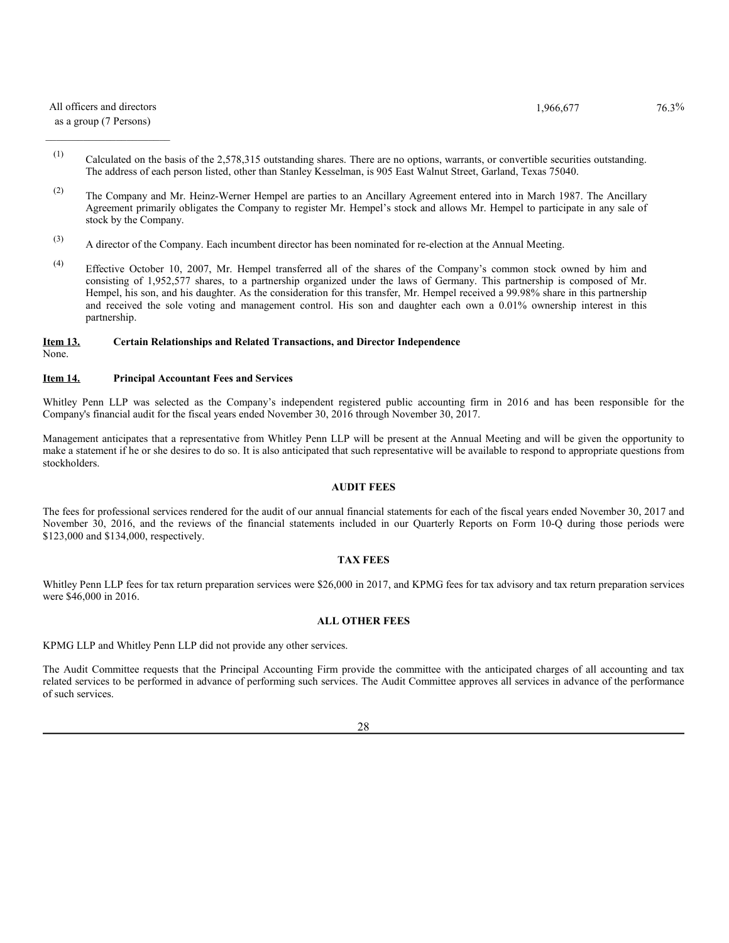### All officers and directors  $1,966,677$   $76.3\%$

### $\mathcal{L}_\text{max}$ as a group (7 Persons)

- (1) Calculated on the basis of the 2,578,315 outstanding shares. There are no options, warrants, or convertible securities outstanding. The address of each person listed, other than Stanley Kesselman, is 905 East Walnut Street, Garland, Texas 75040.
- (2) The Company and Mr. Heinz-Werner Hempel are parties to an Ancillary Agreement entered into in March 1987. The Ancillary Agreement primarily obligates the Company to register Mr. Hempel's stock and allows Mr. Hempel to participate in any sale of stock by the Company.
- (3) A director of the Company. Each incumbent director has been nominated for re-election at the Annual Meeting.
- (4) Effective October 10, 2007, Mr. Hempel transferred all of the shares of the Company's common stock owned by him and consisting of 1,952,577 shares, to a partnership organized under the laws of Germany. This partnership is composed of Mr. Hempel, his son, and his daughter. As the consideration for this transfer, Mr. Hempel received a 99.98% share in this partnership and received the sole voting and management control. His son and daughter each own a 0.01% ownership interest in this partnership.

#### None. **Item 13. Certain Relationships and Related Transactions, and Director Independence**

### **Item 14. Principal Accountant Fees and Services**

Whitley Penn LLP was selected as the Company's independent registered public accounting firm in 2016 and has been responsible for the Company's financial audit for the fiscal years ended November 30, 2016 through November 30, 2017.

Management anticipates that a representative from Whitley Penn LLP will be present at the Annual Meeting and will be given the opportunity to make a statement if he or she desires to do so. It is also anticipated that such representative will be available to respond to appropriate questions from stockholders.

### **AUDIT FEES**

The fees for professional services rendered for the audit of our annual financial statements for each of the fiscal years ended November 30, 2017 and November 30, 2016, and the reviews of the financial statements included in our Quarterly Reports on Form 10-Q during those periods were \$123,000 and \$134,000, respectively.

### **TAX FEES**

Whitley Penn LLP fees for tax return preparation services were \$26,000 in 2017, and KPMG fees for tax advisory and tax return preparation services were \$46,000 in 2016.

### **ALL OTHER FEES**

KPMG LLP and Whitley Penn LLP did not provide any other services.

The Audit Committee requests that the Principal Accounting Firm provide the committee with the anticipated charges of all accounting and tax related services to be performed in advance of performing such services. The Audit Committee approves all services in advance of the performance of such services.

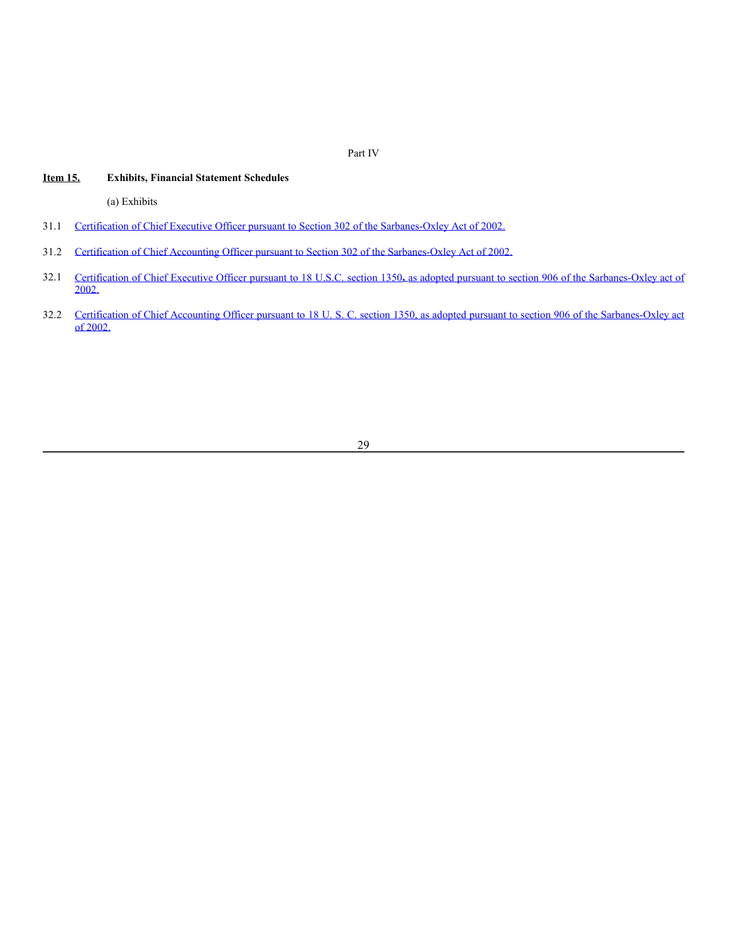Part IV

### **Item 15. Exhibits, Financial Statement Schedules**

(a) Exhibits

- 31.1 Certification of Chief Executive Officer pursuant to Section 302 of the Sarbanes-Oxley Act of 2002.
- 31.2 Certification of Chief Accounting Officer pursuant to Section 302 of the Sarbanes-Oxley Act of 2002.
- 32.1 Certification of Chief Executive Officer pursuant to 18 U.S.C. section 1350**,** as adopted pursuant to section 906 of the Sarbanes-Oxley act of  $2002.$
- 32.2 Certification of Chief Accounting Officer pursuant to 18 U. S. C. section 1350, as adopted pursuant to section 906 of the Sarbanes-Oxley act of 2002.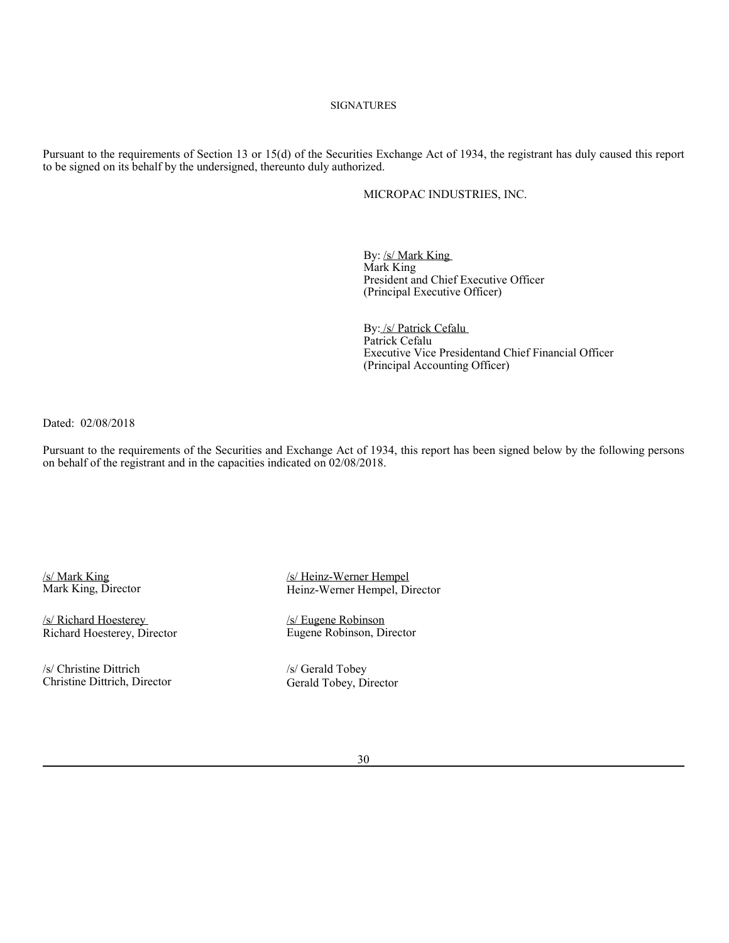### **SIGNATURES**

Pursuant to the requirements of Section 13 or 15(d) of the Securities Exchange Act of 1934, the registrant has duly caused this report to be signed on its behalf by the undersigned, thereunto duly authorized.

### MICROPAC INDUSTRIES, INC.

By: /s/ Mark King Mark King President and Chief Executive Officer (Principal Executive Officer)

By: /s/ Patrick Cefalu Patrick Cefalu Executive Vice Presidentand Chief Financial Officer (Principal Accounting Officer)

Dated: 02/08/2018

Pursuant to the requirements of the Securities and Exchange Act of 1934, this report has been signed below by the following persons on behalf of the registrant and in the capacities indicated on 02/08/2018.

Richard Hoesterey, Director

/s/ Christine Dittrich /s/ Gerald Tobey Christine Dittrich, Director Gerald Tobey, Director

/s/ Mark King<br>
Mark King, Director<br>
Mark King, Director<br>
Heinz-Werner Hempel, Di Heinz-Werner Hempel, Director

/s/ Richard Hoesterey *(s/ Eugene Robinson*<br>
Richard Hoesterey, Director *Eugene Robinson, Director*